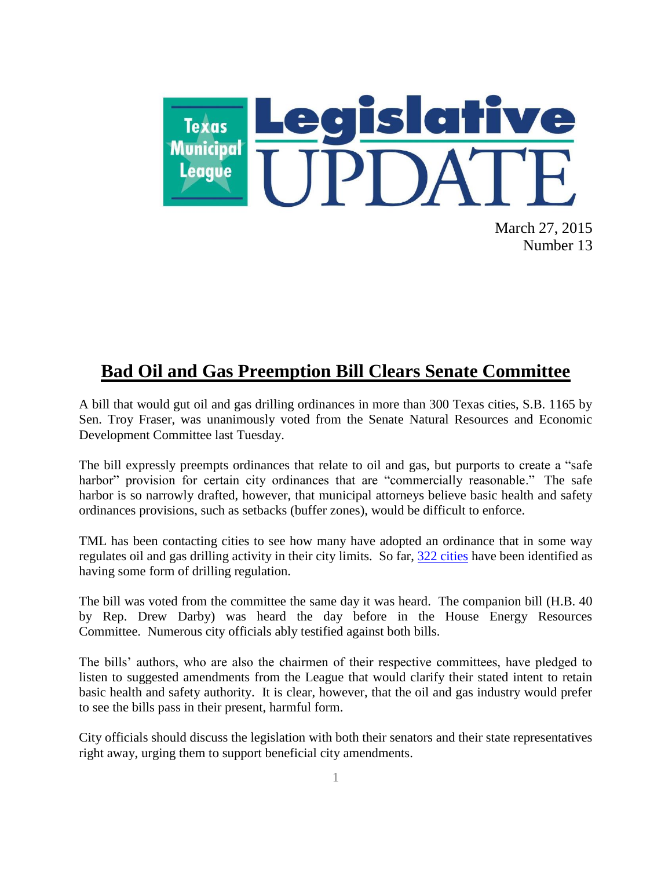

March 27, 2015 Number 13

# **Bad Oil and Gas Preemption Bill Clears Senate Committee**

A bill that would gut oil and gas drilling ordinances in more than 300 Texas cities, S.B. 1165 by Sen. Troy Fraser, was unanimously voted from the Senate Natural Resources and Economic Development Committee last Tuesday.

The bill expressly preempts ordinances that relate to oil and gas, but purports to create a "safe harbor" provision for certain city ordinances that are "commercially reasonable." The safe harbor is so narrowly drafted, however, that municipal attorneys believe basic health and safety ordinances provisions, such as setbacks (buffer zones), would be difficult to enforce.

TML has been contacting cities to see how many have adopted an ordinance that in some way regulates oil and gas drilling activity in their city limits. So far, [322 cities](http://www.tml.org/p/322CitiesRegulateDrilling.pdf) have been identified as having some form of drilling regulation.

The bill was voted from the committee the same day it was heard. The companion bill (H.B. 40 by Rep. Drew Darby) was heard the day before in the House Energy Resources Committee. Numerous city officials ably testified against both bills.

The bills' authors, who are also the chairmen of their respective committees, have pledged to listen to suggested amendments from the League that would clarify their stated intent to retain basic health and safety authority. It is clear, however, that the oil and gas industry would prefer to see the bills pass in their present, harmful form.

City officials should discuss the legislation with both their senators and their state representatives right away, urging them to support beneficial city amendments.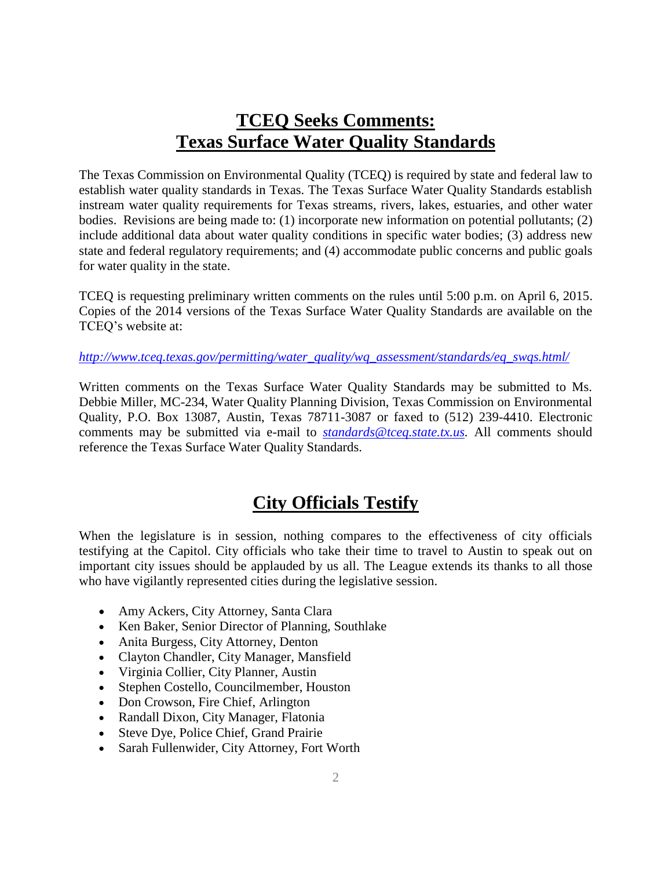# **TCEQ Seeks Comments: Texas Surface Water Quality Standards**

The Texas Commission on Environmental Quality (TCEQ) is required by state and federal law to establish water quality standards in Texas. The Texas Surface Water Quality Standards establish instream water quality requirements for Texas streams, rivers, lakes, estuaries, and other water bodies. Revisions are being made to: (1) incorporate new information on potential pollutants; (2) include additional data about water quality conditions in specific water bodies; (3) address new state and federal regulatory requirements; and (4) accommodate public concerns and public goals for water quality in the state.

TCEQ is requesting preliminary written comments on the rules until 5:00 p.m. on April 6, 2015. Copies of the 2014 versions of the Texas Surface Water Quality Standards are available on the TCEQ's website at:

#### *[http://www.tceq.texas.gov/permitting/water\\_quality/wq\\_assessment/standards/eq\\_swqs.html/](http://www.tceq.texas.gov/permitting/water_quality/wq_assessment/standards/eq_swqs.html/)*

Written comments on the Texas Surface Water Quality Standards may be submitted to Ms. Debbie Miller, MC-234, Water Quality Planning Division, Texas Commission on Environmental Quality, P.O. Box 13087, Austin, Texas 78711-3087 or faxed to (512) 239-4410. Electronic comments may be submitted via e-mail to *[standards@tceq.state.tx.us.](mailto:standards@tceq.state.tx.us)* All comments should reference the Texas Surface Water Quality Standards.

## **City Officials Testify**

When the legislature is in session, nothing compares to the effectiveness of city officials testifying at the Capitol. City officials who take their time to travel to Austin to speak out on important city issues should be applauded by us all. The League extends its thanks to all those who have vigilantly represented cities during the legislative session.

- Amy Ackers, City Attorney, Santa Clara
- Ken Baker, Senior Director of Planning, Southlake
- Anita Burgess, City Attorney, Denton
- Clayton Chandler, City Manager, Mansfield
- Virginia Collier, City Planner, Austin
- Stephen Costello, Councilmember, Houston
- Don Crowson, Fire Chief, Arlington
- Randall Dixon, City Manager, Flatonia
- Steve Dye, Police Chief, Grand Prairie
- Sarah Fullenwider, City Attorney, Fort Worth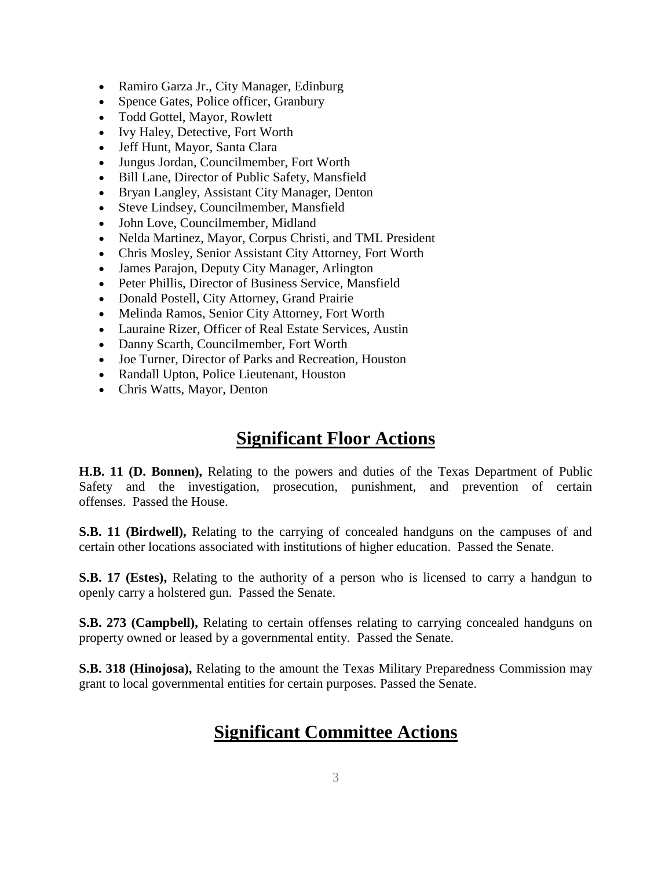- Ramiro Garza Jr., City Manager, Edinburg
- Spence Gates, Police officer, Granbury
- Todd Gottel, Mayor, Rowlett
- Ivy Haley, Detective, Fort Worth
- Jeff Hunt, Mayor, Santa Clara
- Jungus Jordan, Councilmember, Fort Worth
- Bill Lane, Director of Public Safety, Mansfield
- Bryan Langley, Assistant City Manager, Denton
- Steve Lindsey, Councilmember, Mansfield
- John Love, Councilmember, Midland
- Nelda Martinez, Mayor, Corpus Christi, and TML President
- Chris Mosley, Senior Assistant City Attorney, Fort Worth
- James Parajon, Deputy City Manager, Arlington
- Peter Phillis, Director of Business Service, Mansfield
- Donald Postell, City Attorney, Grand Prairie
- Melinda Ramos, Senior City Attorney, Fort Worth
- Lauraine Rizer, Officer of Real Estate Services, Austin
- Danny Scarth, Councilmember, Fort Worth
- Joe Turner, Director of Parks and Recreation, Houston
- Randall Upton, Police Lieutenant, Houston
- Chris Watts, Mayor, Denton

# **Significant Floor Actions**

**H.B. 11 (D. Bonnen),** Relating to the powers and duties of the Texas Department of Public Safety and the investigation, prosecution, punishment, and prevention of certain offenses. Passed the House.

**S.B. 11 (Birdwell),** Relating to the carrying of concealed handguns on the campuses of and certain other locations associated with institutions of higher education. Passed the Senate.

**S.B. 17 (Estes),** Relating to the authority of a person who is licensed to carry a handgun to openly carry a holstered gun. Passed the Senate.

**S.B. 273 (Campbell),** Relating to certain offenses relating to carrying concealed handguns on property owned or leased by a governmental entity. Passed the Senate.

**S.B. 318 (Hinojosa),** Relating to the amount the Texas Military Preparedness Commission may grant to local governmental entities for certain purposes. Passed the Senate.

# **Significant Committee Actions**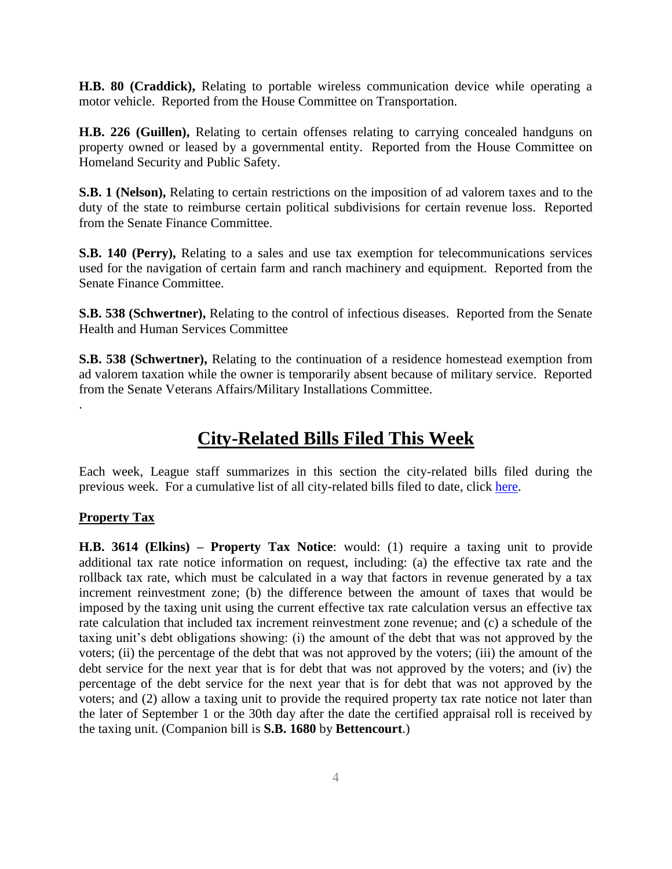**H.B. 80 (Craddick),** Relating to portable wireless communication device while operating a motor vehicle. Reported from the House Committee on Transportation.

**H.B. 226 (Guillen),** Relating to certain offenses relating to carrying concealed handguns on property owned or leased by a governmental entity. Reported from the House Committee on Homeland Security and Public Safety.

**S.B. 1 (Nelson),** Relating to certain restrictions on the imposition of ad valorem taxes and to the duty of the state to reimburse certain political subdivisions for certain revenue loss. Reported from the Senate Finance Committee.

**S.B. 140 (Perry),** Relating to a sales and use tax exemption for telecommunications services used for the navigation of certain farm and ranch machinery and equipment. Reported from the Senate Finance Committee.

**S.B. 538 (Schwertner),** Relating to the control of infectious diseases. Reported from the Senate Health and Human Services Committee

**S.B. 538 (Schwertner),** Relating to the continuation of a residence homestead exemption from ad valorem taxation while the owner is temporarily absent because of military service. Reported from the Senate Veterans Affairs/Military Installations Committee.

## **City-Related Bills Filed This Week**

Each week, League staff summarizes in this section the city-related bills filed during the previous week. For a cumulative list of all city-related bills filed to date, click [here.](http://www.tml.org/p/CityRelatedBills3_27_2015.pdf)

#### **Property Tax**

.

**H.B. 3614 (Elkins) – Property Tax Notice**: would: (1) require a taxing unit to provide additional tax rate notice information on request, including: (a) the effective tax rate and the rollback tax rate, which must be calculated in a way that factors in revenue generated by a tax increment reinvestment zone; (b) the difference between the amount of taxes that would be imposed by the taxing unit using the current effective tax rate calculation versus an effective tax rate calculation that included tax increment reinvestment zone revenue; and (c) a schedule of the taxing unit's debt obligations showing: (i) the amount of the debt that was not approved by the voters; (ii) the percentage of the debt that was not approved by the voters; (iii) the amount of the debt service for the next year that is for debt that was not approved by the voters; and (iv) the percentage of the debt service for the next year that is for debt that was not approved by the voters; and (2) allow a taxing unit to provide the required property tax rate notice not later than the later of September 1 or the 30th day after the date the certified appraisal roll is received by the taxing unit. (Companion bill is **S.B. 1680** by **Bettencourt**.)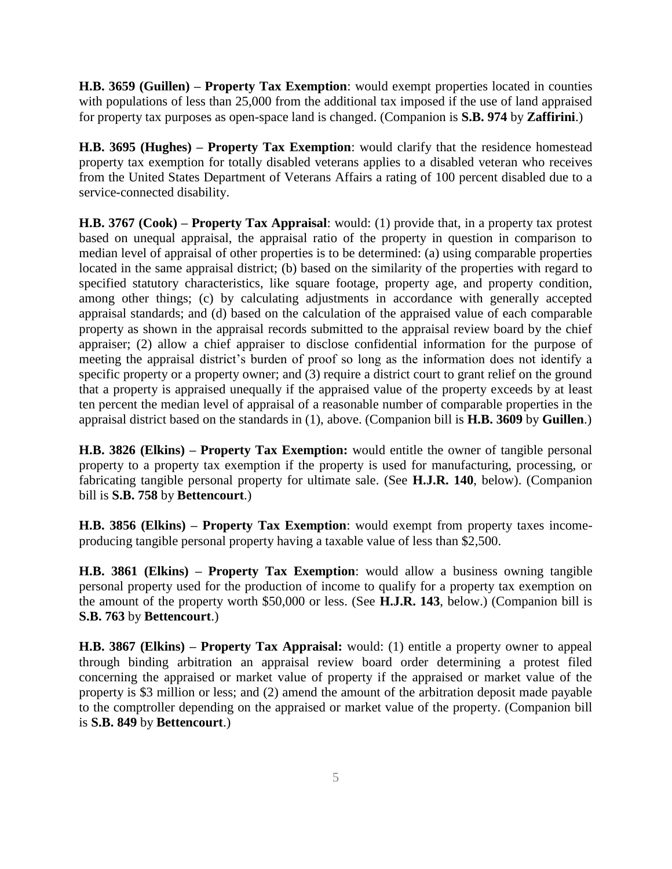**H.B. 3659 (Guillen) – Property Tax Exemption**: would exempt properties located in counties with populations of less than 25,000 from the additional tax imposed if the use of land appraised for property tax purposes as open-space land is changed. (Companion is **S.B. 974** by **Zaffirini**.)

**H.B. 3695 (Hughes) – Property Tax Exemption**: would clarify that the residence homestead property tax exemption for totally disabled veterans applies to a disabled veteran who receives from the United States Department of Veterans Affairs a rating of 100 percent disabled due to a service-connected disability.

**H.B. 3767 (Cook) – Property Tax Appraisal**: would: (1) provide that, in a property tax protest based on unequal appraisal, the appraisal ratio of the property in question in comparison to median level of appraisal of other properties is to be determined: (a) using comparable properties located in the same appraisal district; (b) based on the similarity of the properties with regard to specified statutory characteristics, like square footage, property age, and property condition, among other things; (c) by calculating adjustments in accordance with generally accepted appraisal standards; and (d) based on the calculation of the appraised value of each comparable property as shown in the appraisal records submitted to the appraisal review board by the chief appraiser; (2) allow a chief appraiser to disclose confidential information for the purpose of meeting the appraisal district's burden of proof so long as the information does not identify a specific property or a property owner; and (3) require a district court to grant relief on the ground that a property is appraised unequally if the appraised value of the property exceeds by at least ten percent the median level of appraisal of a reasonable number of comparable properties in the appraisal district based on the standards in (1), above. (Companion bill is **H.B. 3609** by **Guillen**.)

**H.B. 3826 (Elkins) – Property Tax Exemption:** would entitle the owner of tangible personal property to a property tax exemption if the property is used for manufacturing, processing, or fabricating tangible personal property for ultimate sale. (See **H.J.R. 140**, below). (Companion bill is **S.B. 758** by **Bettencourt**.)

**H.B. 3856 (Elkins) – Property Tax Exemption**: would exempt from property taxes incomeproducing tangible personal property having a taxable value of less than \$2,500.

**H.B. 3861 (Elkins) – Property Tax Exemption**: would allow a business owning tangible personal property used for the production of income to qualify for a property tax exemption on the amount of the property worth \$50,000 or less. (See **H.J.R. 143**, below.) (Companion bill is **S.B. 763** by **Bettencourt**.)

**H.B. 3867 (Elkins) – Property Tax Appraisal:** would: (1) entitle a property owner to appeal through binding arbitration an appraisal review board order determining a protest filed concerning the appraised or market value of property if the appraised or market value of the property is \$3 million or less; and (2) amend the amount of the arbitration deposit made payable to the comptroller depending on the appraised or market value of the property. (Companion bill is **S.B. 849** by **Bettencourt**.)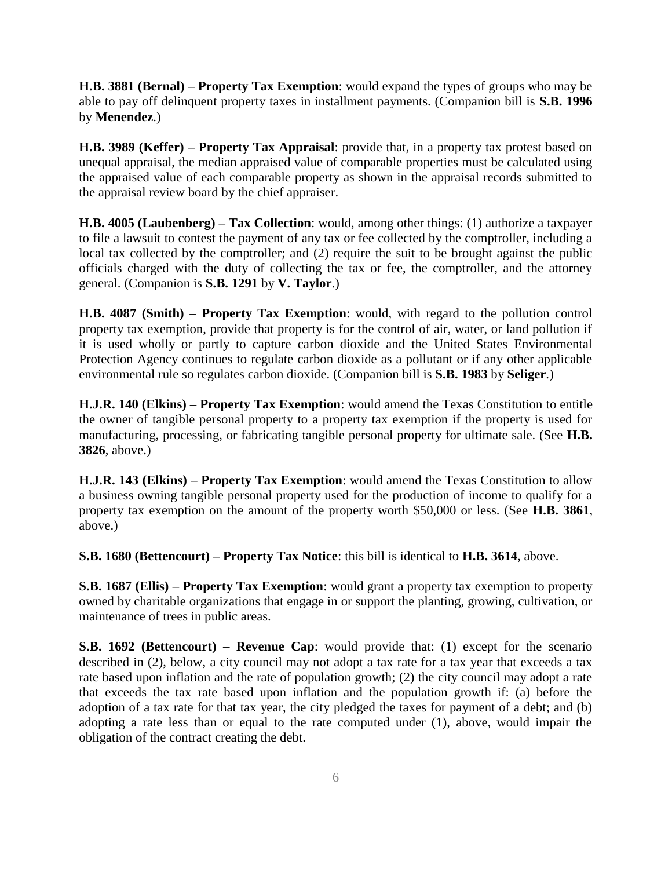**H.B. 3881 (Bernal) – Property Tax Exemption**: would expand the types of groups who may be able to pay off delinquent property taxes in installment payments. (Companion bill is **S.B. 1996** by **Menendez**.)

**H.B. 3989 (Keffer) – Property Tax Appraisal**: provide that, in a property tax protest based on unequal appraisal, the median appraised value of comparable properties must be calculated using the appraised value of each comparable property as shown in the appraisal records submitted to the appraisal review board by the chief appraiser.

**H.B. 4005 (Laubenberg) – Tax Collection**: would, among other things: (1) authorize a taxpayer to file a lawsuit to contest the payment of any tax or fee collected by the comptroller, including a local tax collected by the comptroller; and (2) require the suit to be brought against the public officials charged with the duty of collecting the tax or fee, the comptroller, and the attorney general. (Companion is **S.B. 1291** by **V. Taylor**.)

**H.B. 4087 (Smith) – Property Tax Exemption**: would, with regard to the pollution control property tax exemption, provide that property is for the control of air, water, or land pollution if it is used wholly or partly to capture carbon dioxide and the United States Environmental Protection Agency continues to regulate carbon dioxide as a pollutant or if any other applicable environmental rule so regulates carbon dioxide. (Companion bill is **S.B. 1983** by **Seliger**.)

**H.J.R. 140 (Elkins) – Property Tax Exemption**: would amend the Texas Constitution to entitle the owner of tangible personal property to a property tax exemption if the property is used for manufacturing, processing, or fabricating tangible personal property for ultimate sale. (See **H.B. 3826**, above.)

**H.J.R. 143 (Elkins) – Property Tax Exemption**: would amend the Texas Constitution to allow a business owning tangible personal property used for the production of income to qualify for a property tax exemption on the amount of the property worth \$50,000 or less. (See **H.B. 3861**, above.)

**S.B. 1680 (Bettencourt) – Property Tax Notice**: this bill is identical to **H.B. 3614**, above.

**S.B. 1687 (Ellis) – Property Tax Exemption**: would grant a property tax exemption to property owned by charitable organizations that engage in or support the planting, growing, cultivation, or maintenance of trees in public areas.

**S.B. 1692 (Bettencourt) – Revenue Cap**: would provide that: (1) except for the scenario described in (2), below, a city council may not adopt a tax rate for a tax year that exceeds a tax rate based upon inflation and the rate of population growth; (2) the city council may adopt a rate that exceeds the tax rate based upon inflation and the population growth if: (a) before the adoption of a tax rate for that tax year, the city pledged the taxes for payment of a debt; and (b) adopting a rate less than or equal to the rate computed under (1), above, would impair the obligation of the contract creating the debt.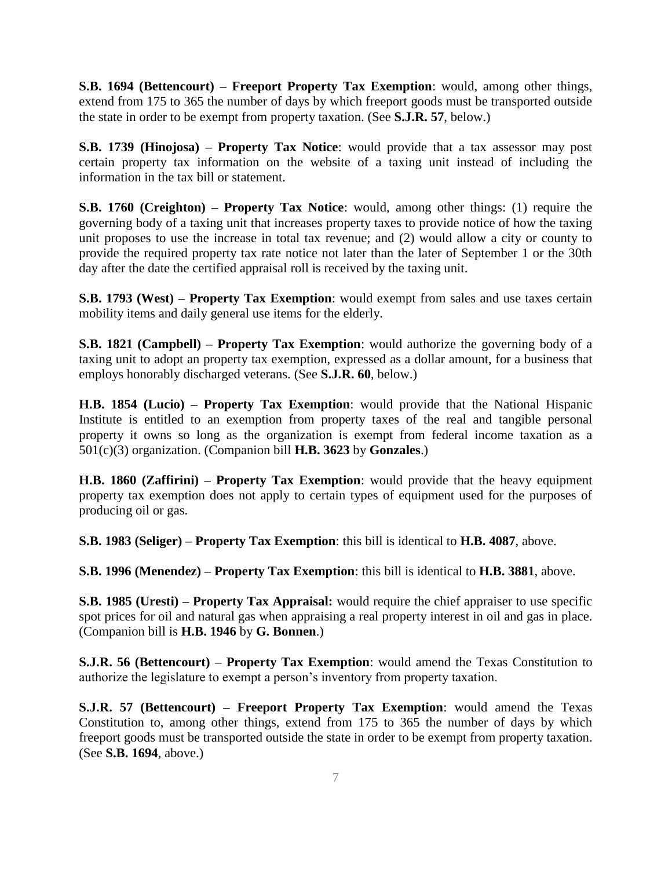**S.B. 1694 (Bettencourt) – Freeport Property Tax Exemption**: would, among other things, extend from 175 to 365 the number of days by which freeport goods must be transported outside the state in order to be exempt from property taxation. (See **S.J.R. 57**, below.)

**S.B. 1739 (Hinojosa) – Property Tax Notice**: would provide that a tax assessor may post certain property tax information on the website of a taxing unit instead of including the information in the tax bill or statement.

**S.B. 1760 (Creighton) – Property Tax Notice**: would, among other things: (1) require the governing body of a taxing unit that increases property taxes to provide notice of how the taxing unit proposes to use the increase in total tax revenue; and (2) would allow a city or county to provide the required property tax rate notice not later than the later of September 1 or the 30th day after the date the certified appraisal roll is received by the taxing unit.

**S.B. 1793 (West) – Property Tax Exemption**: would exempt from sales and use taxes certain mobility items and daily general use items for the elderly.

**S.B. 1821 (Campbell) – Property Tax Exemption**: would authorize the governing body of a taxing unit to adopt an property tax exemption, expressed as a dollar amount, for a business that employs honorably discharged veterans. (See **S.J.R. 60**, below.)

**H.B. 1854 (Lucio) – Property Tax Exemption**: would provide that the National Hispanic Institute is entitled to an exemption from property taxes of the real and tangible personal property it owns so long as the organization is exempt from federal income taxation as a 501(c)(3) organization. (Companion bill **H.B. 3623** by **Gonzales**.)

**H.B. 1860 (Zaffirini) – Property Tax Exemption**: would provide that the heavy equipment property tax exemption does not apply to certain types of equipment used for the purposes of producing oil or gas.

**S.B. 1983 (Seliger) – Property Tax Exemption**: this bill is identical to **H.B. 4087**, above.

**S.B. 1996 (Menendez) – Property Tax Exemption**: this bill is identical to **H.B. 3881**, above.

**S.B. 1985 (Uresti) – Property Tax Appraisal:** would require the chief appraiser to use specific spot prices for oil and natural gas when appraising a real property interest in oil and gas in place. (Companion bill is **H.B. 1946** by **G. Bonnen**.)

**S.J.R. 56 (Bettencourt) – Property Tax Exemption**: would amend the Texas Constitution to authorize the legislature to exempt a person's inventory from property taxation.

**S.J.R. 57 (Bettencourt) – Freeport Property Tax Exemption**: would amend the Texas Constitution to, among other things, extend from 175 to 365 the number of days by which freeport goods must be transported outside the state in order to be exempt from property taxation. (See **S.B. 1694**, above.)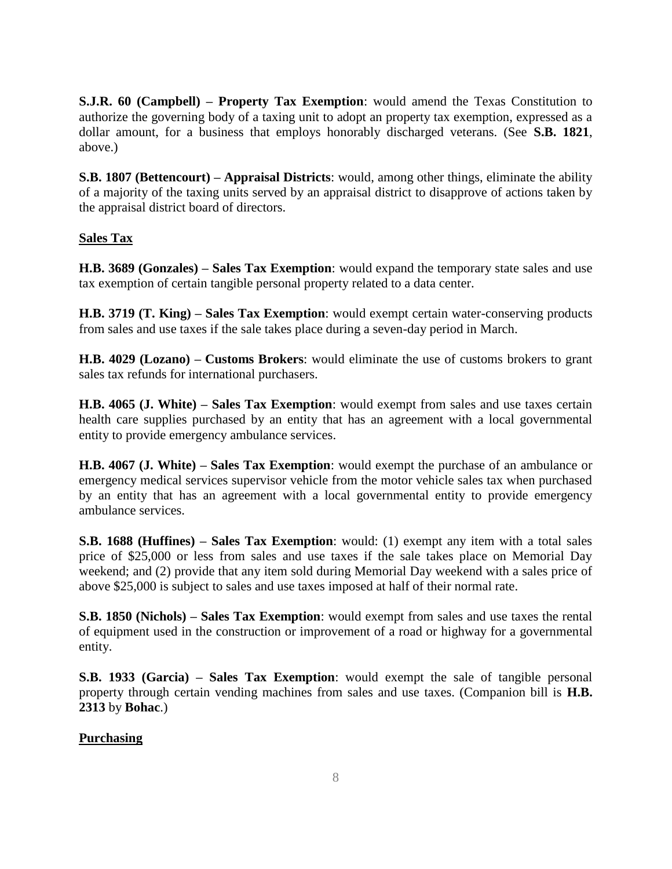**S.J.R. 60 (Campbell) – Property Tax Exemption**: would amend the Texas Constitution to authorize the governing body of a taxing unit to adopt an property tax exemption, expressed as a dollar amount, for a business that employs honorably discharged veterans. (See **S.B. 1821**, above.)

**S.B. 1807 (Bettencourt) – Appraisal Districts**: would, among other things, eliminate the ability of a majority of the taxing units served by an appraisal district to disapprove of actions taken by the appraisal district board of directors.

### **Sales Tax**

**H.B. 3689 (Gonzales) – Sales Tax Exemption**: would expand the temporary state sales and use tax exemption of certain tangible personal property related to a data center.

**H.B. 3719 (T. King) – Sales Tax Exemption**: would exempt certain water-conserving products from sales and use taxes if the sale takes place during a seven-day period in March.

**H.B. 4029 (Lozano) – Customs Brokers**: would eliminate the use of customs brokers to grant sales tax refunds for international purchasers.

**H.B. 4065 (J. White) – Sales Tax Exemption**: would exempt from sales and use taxes certain health care supplies purchased by an entity that has an agreement with a local governmental entity to provide emergency ambulance services.

**H.B. 4067 (J. White) – Sales Tax Exemption**: would exempt the purchase of an ambulance or emergency medical services supervisor vehicle from the motor vehicle sales tax when purchased by an entity that has an agreement with a local governmental entity to provide emergency ambulance services.

**S.B. 1688 (Huffines) – Sales Tax Exemption**: would: (1) exempt any item with a total sales price of \$25,000 or less from sales and use taxes if the sale takes place on Memorial Day weekend; and (2) provide that any item sold during Memorial Day weekend with a sales price of above \$25,000 is subject to sales and use taxes imposed at half of their normal rate.

**S.B. 1850 (Nichols) – Sales Tax Exemption**: would exempt from sales and use taxes the rental of equipment used in the construction or improvement of a road or highway for a governmental entity.

**S.B. 1933 (Garcia) – Sales Tax Exemption**: would exempt the sale of tangible personal property through certain vending machines from sales and use taxes. (Companion bill is **H.B. 2313** by **Bohac**.)

### **Purchasing**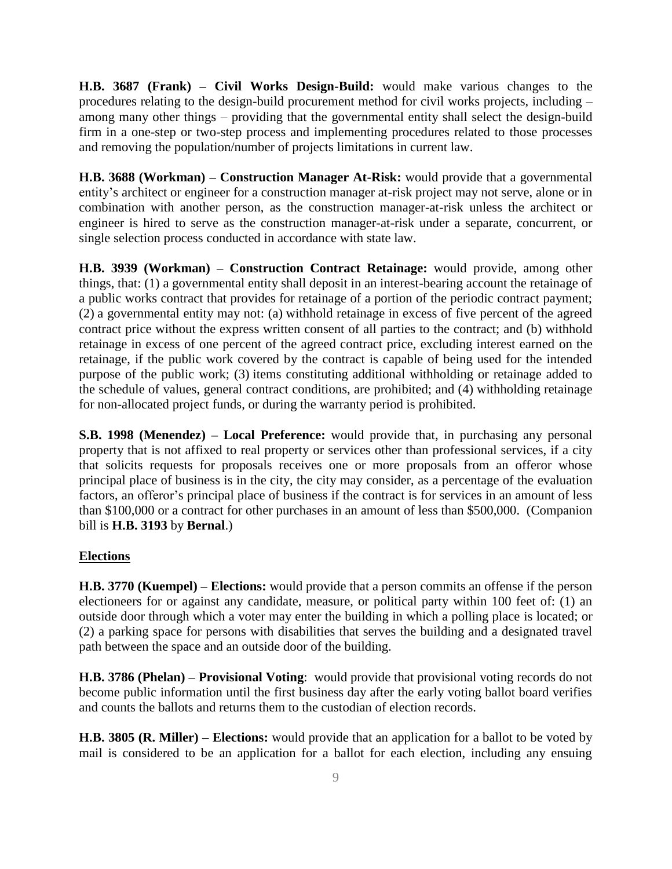**H.B. 3687 (Frank) – Civil Works Design-Build:** would make various changes to the procedures relating to the design-build procurement method for civil works projects, including – among many other things – providing that the governmental entity shall select the design-build firm in a one-step or two-step process and implementing procedures related to those processes and removing the population/number of projects limitations in current law.

**H.B. 3688 (Workman) – Construction Manager At-Risk:** would provide that a governmental entity's architect or engineer for a construction manager at-risk project may not serve, alone or in combination with another person, as the construction manager-at-risk unless the architect or engineer is hired to serve as the construction manager-at-risk under a separate, concurrent, or single selection process conducted in accordance with state law.

**H.B. 3939 (Workman) – Construction Contract Retainage:** would provide, among other things, that: (1) a governmental entity shall deposit in an interest-bearing account the retainage of a public works contract that provides for retainage of a portion of the periodic contract payment; (2) a governmental entity may not: (a) withhold retainage in excess of five percent of the agreed contract price without the express written consent of all parties to the contract; and (b) withhold retainage in excess of one percent of the agreed contract price, excluding interest earned on the retainage, if the public work covered by the contract is capable of being used for the intended purpose of the public work; (3) items constituting additional withholding or retainage added to the schedule of values, general contract conditions, are prohibited; and (4) withholding retainage for non-allocated project funds, or during the warranty period is prohibited.

**S.B. 1998 (Menendez) – Local Preference:** would provide that, in purchasing any personal property that is not affixed to real property or services other than professional services, if a city that solicits requests for proposals receives one or more proposals from an offeror whose principal place of business is in the city, the city may consider, as a percentage of the evaluation factors, an offeror's principal place of business if the contract is for services in an amount of less than \$100,000 or a contract for other purchases in an amount of less than \$500,000. (Companion bill is **H.B. 3193** by **Bernal**.)

#### **Elections**

**H.B. 3770 (Kuempel) – Elections:** would provide that a person commits an offense if the person electioneers for or against any candidate, measure, or political party within 100 feet of: (1) an outside door through which a voter may enter the building in which a polling place is located; or (2) a parking space for persons with disabilities that serves the building and a designated travel path between the space and an outside door of the building.

**H.B. 3786 (Phelan) – Provisional Voting**: would provide that provisional voting records do not become public information until the first business day after the early voting ballot board verifies and counts the ballots and returns them to the custodian of election records.

**H.B. 3805 (R. Miller) – Elections:** would provide that an application for a ballot to be voted by mail is considered to be an application for a ballot for each election, including any ensuing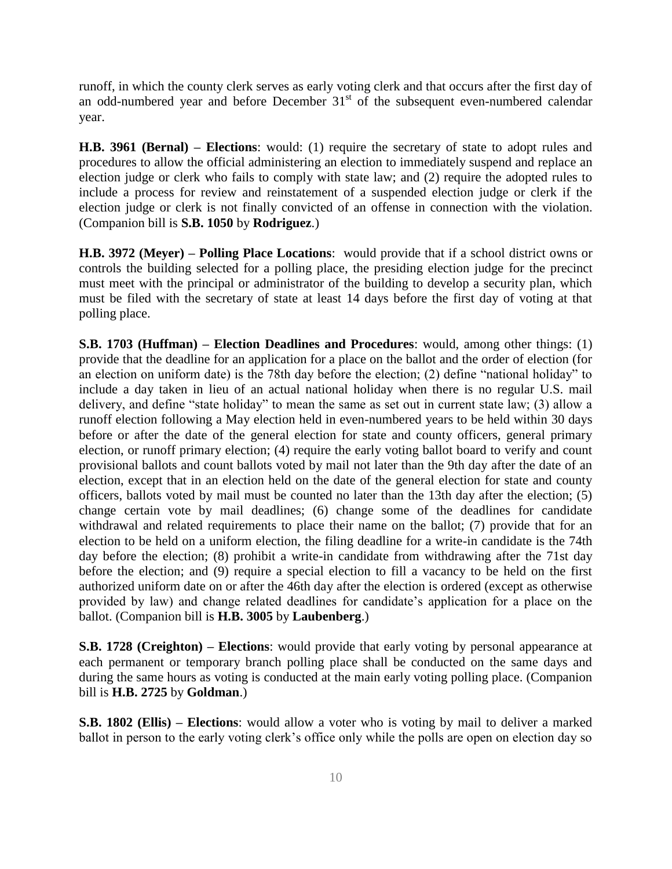runoff, in which the county clerk serves as early voting clerk and that occurs after the first day of an odd-numbered year and before December  $31<sup>st</sup>$  of the subsequent even-numbered calendar year.

**H.B. 3961 (Bernal) – Elections**: would: (1) require the secretary of state to adopt rules and procedures to allow the official administering an election to immediately suspend and replace an election judge or clerk who fails to comply with state law; and (2) require the adopted rules to include a process for review and reinstatement of a suspended election judge or clerk if the election judge or clerk is not finally convicted of an offense in connection with the violation. (Companion bill is **S.B. 1050** by **Rodriguez**.)

**H.B. 3972 (Meyer) – Polling Place Locations**: would provide that if a school district owns or controls the building selected for a polling place, the presiding election judge for the precinct must meet with the principal or administrator of the building to develop a security plan, which must be filed with the secretary of state at least 14 days before the first day of voting at that polling place.

**S.B. 1703 (Huffman) – Election Deadlines and Procedures**: would, among other things: (1) provide that the deadline for an application for a place on the ballot and the order of election (for an election on uniform date) is the 78th day before the election; (2) define "national holiday" to include a day taken in lieu of an actual national holiday when there is no regular U.S. mail delivery, and define "state holiday" to mean the same as set out in current state law; (3) allow a runoff election following a May election held in even-numbered years to be held within 30 days before or after the date of the general election for state and county officers, general primary election, or runoff primary election; (4) require the early voting ballot board to verify and count provisional ballots and count ballots voted by mail not later than the 9th day after the date of an election, except that in an election held on the date of the general election for state and county officers, ballots voted by mail must be counted no later than the 13th day after the election; (5) change certain vote by mail deadlines; (6) change some of the deadlines for candidate withdrawal and related requirements to place their name on the ballot; (7) provide that for an election to be held on a uniform election, the filing deadline for a write-in candidate is the 74th day before the election; (8) prohibit a write-in candidate from withdrawing after the 71st day before the election; and (9) require a special election to fill a vacancy to be held on the first authorized uniform date on or after the 46th day after the election is ordered (except as otherwise provided by law) and change related deadlines for candidate's application for a place on the ballot. (Companion bill is **H.B. 3005** by **Laubenberg**.)

**S.B. 1728 (Creighton) – Elections**: would provide that early voting by personal appearance at each permanent or temporary branch polling place shall be conducted on the same days and during the same hours as voting is conducted at the main early voting polling place. (Companion bill is **H.B. 2725** by **Goldman**.)

**S.B. 1802 (Ellis) – Elections**: would allow a voter who is voting by mail to deliver a marked ballot in person to the early voting clerk's office only while the polls are open on election day so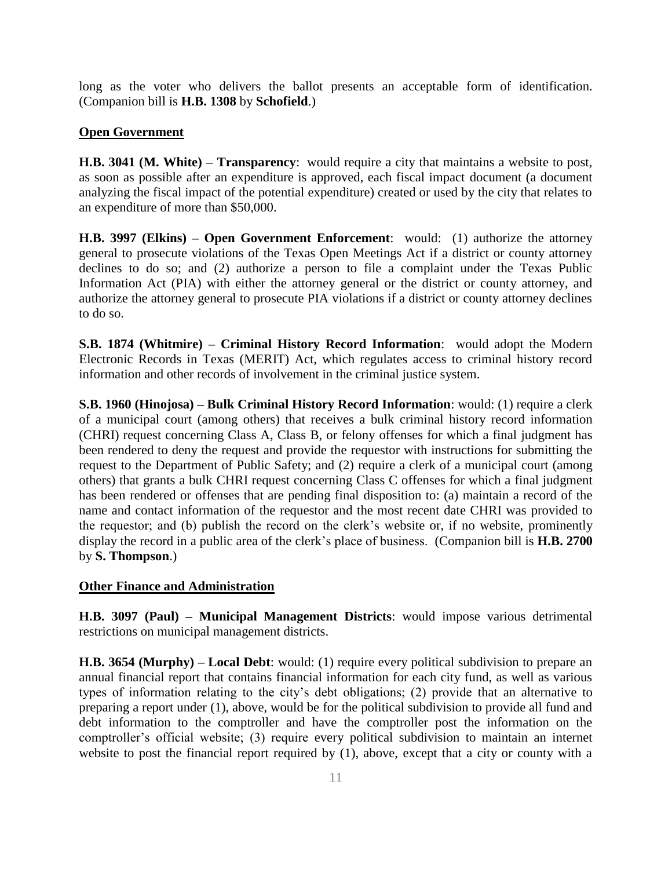long as the voter who delivers the ballot presents an acceptable form of identification. (Companion bill is **H.B. 1308** by **Schofield**.)

### **Open Government**

**H.B. 3041 (M. White) – Transparency**: would require a city that maintains a website to post, as soon as possible after an expenditure is approved, each fiscal impact document (a document analyzing the fiscal impact of the potential expenditure) created or used by the city that relates to an expenditure of more than \$50,000.

**H.B. 3997 (Elkins) – Open Government Enforcement**: would: (1) authorize the attorney general to prosecute violations of the Texas Open Meetings Act if a district or county attorney declines to do so; and (2) authorize a person to file a complaint under the Texas Public Information Act (PIA) with either the attorney general or the district or county attorney, and authorize the attorney general to prosecute PIA violations if a district or county attorney declines to do so.

**S.B. 1874 (Whitmire) – Criminal History Record Information**: would adopt the Modern Electronic Records in Texas (MERIT) Act, which regulates access to criminal history record information and other records of involvement in the criminal justice system.

**S.B. 1960 (Hinojosa) – Bulk Criminal History Record Information**: would: (1) require a clerk of a municipal court (among others) that receives a bulk criminal history record information (CHRI) request concerning Class A, Class B, or felony offenses for which a final judgment has been rendered to deny the request and provide the requestor with instructions for submitting the request to the Department of Public Safety; and (2) require a clerk of a municipal court (among others) that grants a bulk CHRI request concerning Class C offenses for which a final judgment has been rendered or offenses that are pending final disposition to: (a) maintain a record of the name and contact information of the requestor and the most recent date CHRI was provided to the requestor; and (b) publish the record on the clerk's website or, if no website, prominently display the record in a public area of the clerk's place of business. (Companion bill is **H.B. 2700** by **S. Thompson**.)

#### **Other Finance and Administration**

**H.B. 3097 (Paul) – Municipal Management Districts**: would impose various detrimental restrictions on municipal management districts.

**H.B. 3654 (Murphy) – Local Debt**: would: (1) require every political subdivision to prepare an annual financial report that contains financial information for each city fund, as well as various types of information relating to the city's debt obligations; (2) provide that an alternative to preparing a report under (1), above, would be for the political subdivision to provide all fund and debt information to the comptroller and have the comptroller post the information on the comptroller's official website; (3) require every political subdivision to maintain an internet website to post the financial report required by (1), above, except that a city or county with a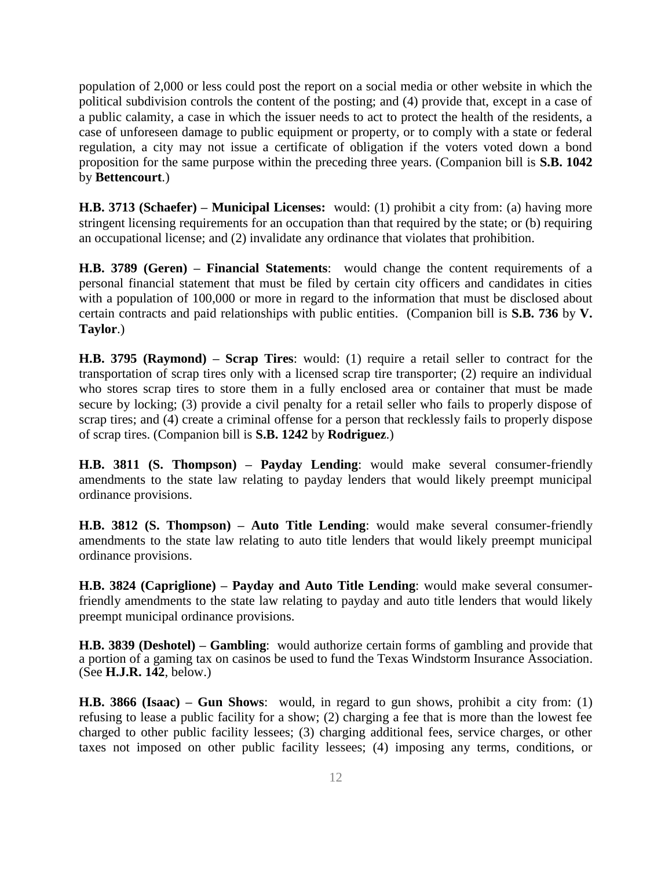population of 2,000 or less could post the report on a social media or other website in which the political subdivision controls the content of the posting; and (4) provide that, except in a case of a public calamity, a case in which the issuer needs to act to protect the health of the residents, a case of unforeseen damage to public equipment or property, or to comply with a state or federal regulation, a city may not issue a certificate of obligation if the voters voted down a bond proposition for the same purpose within the preceding three years. (Companion bill is **S.B. 1042** by **Bettencourt**.)

**H.B. 3713 (Schaefer) – Municipal Licenses:** would: (1) prohibit a city from: (a) having more stringent licensing requirements for an occupation than that required by the state; or (b) requiring an occupational license; and (2) invalidate any ordinance that violates that prohibition.

**H.B. 3789 (Geren) – Financial Statements**: would change the content requirements of a personal financial statement that must be filed by certain city officers and candidates in cities with a population of 100,000 or more in regard to the information that must be disclosed about certain contracts and paid relationships with public entities. (Companion bill is **S.B. 736** by **V. Taylor**.)

**H.B. 3795 (Raymond) – Scrap Tires**: would: (1) require a retail seller to contract for the transportation of scrap tires only with a licensed scrap tire transporter; (2) require an individual who stores scrap tires to store them in a fully enclosed area or container that must be made secure by locking; (3) provide a civil penalty for a retail seller who fails to properly dispose of scrap tires; and (4) create a criminal offense for a person that recklessly fails to properly dispose of scrap tires. (Companion bill is **S.B. 1242** by **Rodriguez**.)

**H.B. 3811 (S. Thompson) – Payday Lending**: would make several consumer-friendly amendments to the state law relating to payday lenders that would likely preempt municipal ordinance provisions.

**H.B. 3812 (S. Thompson) – Auto Title Lending**: would make several consumer-friendly amendments to the state law relating to auto title lenders that would likely preempt municipal ordinance provisions.

**H.B. 3824 (Capriglione) – Payday and Auto Title Lending**: would make several consumerfriendly amendments to the state law relating to payday and auto title lenders that would likely preempt municipal ordinance provisions.

**H.B. 3839 (Deshotel) – Gambling**: would authorize certain forms of gambling and provide that a portion of a gaming tax on casinos be used to fund the Texas Windstorm Insurance Association. (See **H.J.R. 142**, below.)

**H.B. 3866 (Isaac) – Gun Shows**: would, in regard to gun shows, prohibit a city from: (1) refusing to lease a public facility for a show; (2) charging a fee that is more than the lowest fee charged to other public facility lessees; (3) charging additional fees, service charges, or other taxes not imposed on other public facility lessees; (4) imposing any terms, conditions, or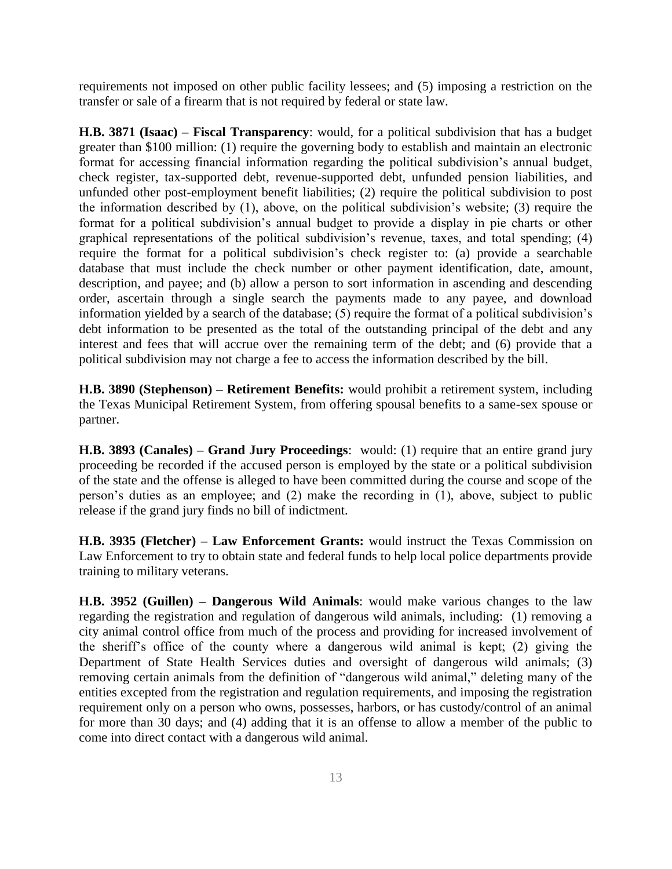requirements not imposed on other public facility lessees; and (5) imposing a restriction on the transfer or sale of a firearm that is not required by federal or state law.

**H.B. 3871 (Isaac) – Fiscal Transparency**: would, for a political subdivision that has a budget greater than \$100 million: (1) require the governing body to establish and maintain an electronic format for accessing financial information regarding the political subdivision's annual budget, check register, tax-supported debt, revenue-supported debt, unfunded pension liabilities, and unfunded other post-employment benefit liabilities; (2) require the political subdivision to post the information described by (1), above, on the political subdivision's website; (3) require the format for a political subdivision's annual budget to provide a display in pie charts or other graphical representations of the political subdivision's revenue, taxes, and total spending; (4) require the format for a political subdivision's check register to: (a) provide a searchable database that must include the check number or other payment identification, date, amount, description, and payee; and (b) allow a person to sort information in ascending and descending order, ascertain through a single search the payments made to any payee, and download information yielded by a search of the database;  $(5)$  require the format of a political subdivision's debt information to be presented as the total of the outstanding principal of the debt and any interest and fees that will accrue over the remaining term of the debt; and (6) provide that a political subdivision may not charge a fee to access the information described by the bill.

**H.B. 3890 (Stephenson) – Retirement Benefits:** would prohibit a retirement system, including the Texas Municipal Retirement System, from offering spousal benefits to a same-sex spouse or partner.

**H.B. 3893 (Canales) – Grand Jury Proceedings**: would: (1) require that an entire grand jury proceeding be recorded if the accused person is employed by the state or a political subdivision of the state and the offense is alleged to have been committed during the course and scope of the person's duties as an employee; and (2) make the recording in (1), above, subject to public release if the grand jury finds no bill of indictment.

**H.B. 3935 (Fletcher) – Law Enforcement Grants:** would instruct the Texas Commission on Law Enforcement to try to obtain state and federal funds to help local police departments provide training to military veterans.

**H.B. 3952 (Guillen) – Dangerous Wild Animals**: would make various changes to the law regarding the registration and regulation of dangerous wild animals, including: (1) removing a city animal control office from much of the process and providing for increased involvement of the sheriff's office of the county where a dangerous wild animal is kept; (2) giving the Department of State Health Services duties and oversight of dangerous wild animals; (3) removing certain animals from the definition of "dangerous wild animal," deleting many of the entities excepted from the registration and regulation requirements, and imposing the registration requirement only on a person who owns, possesses, harbors, or has custody/control of an animal for more than 30 days; and (4) adding that it is an offense to allow a member of the public to come into direct contact with a dangerous wild animal.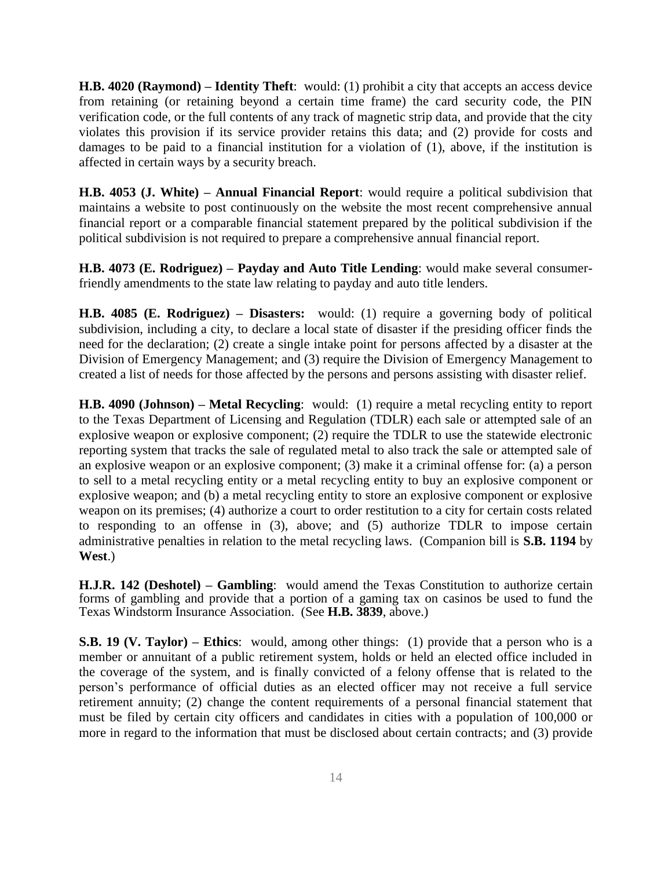**H.B. 4020 (Raymond) – Identity Theft**: would: (1) prohibit a city that accepts an access device from retaining (or retaining beyond a certain time frame) the card security code, the PIN verification code, or the full contents of any track of magnetic strip data, and provide that the city violates this provision if its service provider retains this data; and (2) provide for costs and damages to be paid to a financial institution for a violation of (1), above, if the institution is affected in certain ways by a security breach.

**H.B. 4053 (J. White) – Annual Financial Report**: would require a political subdivision that maintains a website to post continuously on the website the most recent comprehensive annual financial report or a comparable financial statement prepared by the political subdivision if the political subdivision is not required to prepare a comprehensive annual financial report.

**H.B. 4073 (E. Rodriguez) – Payday and Auto Title Lending**: would make several consumerfriendly amendments to the state law relating to payday and auto title lenders.

**H.B. 4085 (E. Rodriguez) – Disasters:** would: (1) require a governing body of political subdivision, including a city, to declare a local state of disaster if the presiding officer finds the need for the declaration; (2) create a single intake point for persons affected by a disaster at the Division of Emergency Management; and (3) require the Division of Emergency Management to created a list of needs for those affected by the persons and persons assisting with disaster relief.

**H.B. 4090 (Johnson) – Metal Recycling**: would: (1) require a metal recycling entity to report to the Texas Department of Licensing and Regulation (TDLR) each sale or attempted sale of an explosive weapon or explosive component; (2) require the TDLR to use the statewide electronic reporting system that tracks the sale of regulated metal to also track the sale or attempted sale of an explosive weapon or an explosive component; (3) make it a criminal offense for: (a) a person to sell to a metal recycling entity or a metal recycling entity to buy an explosive component or explosive weapon; and (b) a metal recycling entity to store an explosive component or explosive weapon on its premises; (4) authorize a court to order restitution to a city for certain costs related to responding to an offense in (3), above; and (5) authorize TDLR to impose certain administrative penalties in relation to the metal recycling laws. (Companion bill is **S.B. 1194** by **West**.)

**H.J.R. 142 (Deshotel) – Gambling**: would amend the Texas Constitution to authorize certain forms of gambling and provide that a portion of a gaming tax on casinos be used to fund the Texas Windstorm Insurance Association. (See **H.B. 3839**, above.)

**S.B. 19 (V. Taylor) – Ethics**: would, among other things: (1) provide that a person who is a member or annuitant of a public retirement system, holds or held an elected office included in the coverage of the system, and is finally convicted of a felony offense that is related to the person's performance of official duties as an elected officer may not receive a full service retirement annuity; (2) change the content requirements of a personal financial statement that must be filed by certain city officers and candidates in cities with a population of 100,000 or more in regard to the information that must be disclosed about certain contracts; and (3) provide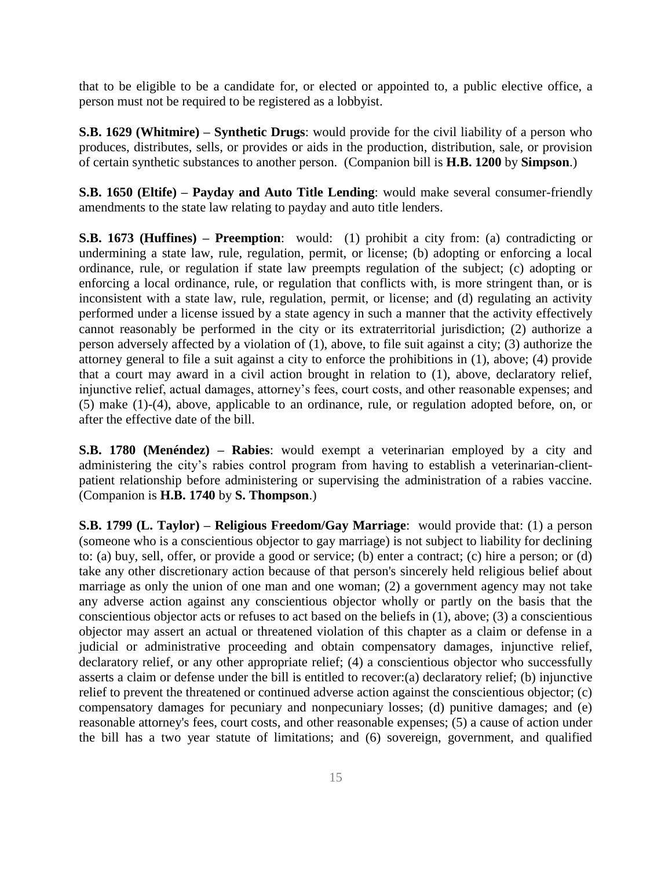that to be eligible to be a candidate for, or elected or appointed to, a public elective office, a person must not be required to be registered as a lobbyist.

**S.B. 1629 (Whitmire) – Synthetic Drugs**: would provide for the civil liability of a person who produces, distributes, sells, or provides or aids in the production, distribution, sale, or provision of certain synthetic substances to another person. (Companion bill is **H.B. 1200** by **Simpson**.)

**S.B. 1650 (Eltife) – Payday and Auto Title Lending**: would make several consumer-friendly amendments to the state law relating to payday and auto title lenders.

**S.B. 1673 (Huffines) – Preemption**: would: (1) prohibit a city from: (a) contradicting or undermining a state law, rule, regulation, permit, or license; (b) adopting or enforcing a local ordinance, rule, or regulation if state law preempts regulation of the subject; (c) adopting or enforcing a local ordinance, rule, or regulation that conflicts with, is more stringent than, or is inconsistent with a state law, rule, regulation, permit, or license; and (d) regulating an activity performed under a license issued by a state agency in such a manner that the activity effectively cannot reasonably be performed in the city or its extraterritorial jurisdiction; (2) authorize a person adversely affected by a violation of (1), above, to file suit against a city; (3) authorize the attorney general to file a suit against a city to enforce the prohibitions in (1), above; (4) provide that a court may award in a civil action brought in relation to (1), above, declaratory relief, injunctive relief, actual damages, attorney's fees, court costs, and other reasonable expenses; and (5) make (1)-(4), above, applicable to an ordinance, rule, or regulation adopted before, on, or after the effective date of the bill.

**S.B. 1780 (Menéndez) – Rabies**: would exempt a veterinarian employed by a city and administering the city's rabies control program from having to establish a veterinarian-clientpatient relationship before administering or supervising the administration of a rabies vaccine. (Companion is **H.B. 1740** by **S. Thompson**.)

**S.B. 1799 (L. Taylor) – Religious Freedom/Gay Marriage**: would provide that: (1) a person (someone who is a conscientious objector to gay marriage) is not subject to liability for declining to: (a) buy, sell, offer, or provide a good or service; (b) enter a contract; (c) hire a person; or (d) take any other discretionary action because of that person's sincerely held religious belief about marriage as only the union of one man and one woman; (2) a government agency may not take any adverse action against any conscientious objector wholly or partly on the basis that the conscientious objector acts or refuses to act based on the beliefs in (1), above; (3) a conscientious objector may assert an actual or threatened violation of this chapter as a claim or defense in a judicial or administrative proceeding and obtain compensatory damages, injunctive relief, declaratory relief, or any other appropriate relief; (4) a conscientious objector who successfully asserts a claim or defense under the bill is entitled to recover:(a) declaratory relief; (b) injunctive relief to prevent the threatened or continued adverse action against the conscientious objector; (c) compensatory damages for pecuniary and nonpecuniary losses; (d) punitive damages; and (e) reasonable attorney's fees, court costs, and other reasonable expenses; (5) a cause of action under the bill has a two year statute of limitations; and (6) sovereign, government, and qualified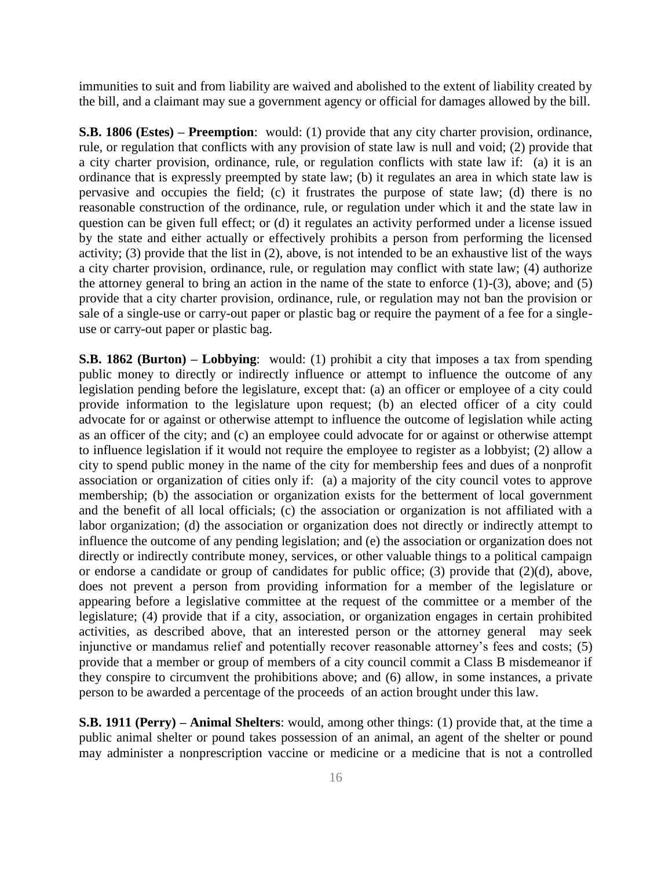immunities to suit and from liability are waived and abolished to the extent of liability created by the bill, and a claimant may sue a government agency or official for damages allowed by the bill.

**S.B. 1806 (Estes) – Preemption**: would: (1) provide that any city charter provision, ordinance, rule, or regulation that conflicts with any provision of state law is null and void; (2) provide that a city charter provision, ordinance, rule, or regulation conflicts with state law if: (a) it is an ordinance that is expressly preempted by state law; (b) it regulates an area in which state law is pervasive and occupies the field; (c) it frustrates the purpose of state law; (d) there is no reasonable construction of the ordinance, rule, or regulation under which it and the state law in question can be given full effect; or (d) it regulates an activity performed under a license issued by the state and either actually or effectively prohibits a person from performing the licensed activity; (3) provide that the list in (2), above, is not intended to be an exhaustive list of the ways a city charter provision, ordinance, rule, or regulation may conflict with state law; (4) authorize the attorney general to bring an action in the name of the state to enforce  $(1)-(3)$ , above; and  $(5)$ provide that a city charter provision, ordinance, rule, or regulation may not ban the provision or sale of a single-use or carry-out paper or plastic bag or require the payment of a fee for a singleuse or carry-out paper or plastic bag.

**S.B. 1862 (Burton) – Lobbying**: would: (1) prohibit a city that imposes a tax from spending public money to directly or indirectly influence or attempt to influence the outcome of any legislation pending before the legislature, except that: (a) an officer or employee of a city could provide information to the legislature upon request; (b) an elected officer of a city could advocate for or against or otherwise attempt to influence the outcome of legislation while acting as an officer of the city; and (c) an employee could advocate for or against or otherwise attempt to influence legislation if it would not require the employee to register as a lobbyist; (2) allow a city to spend public money in the name of the city for membership fees and dues of a nonprofit association or organization of cities only if: (a) a majority of the city council votes to approve membership; (b) the association or organization exists for the betterment of local government and the benefit of all local officials; (c) the association or organization is not affiliated with a labor organization; (d) the association or organization does not directly or indirectly attempt to influence the outcome of any pending legislation; and (e) the association or organization does not directly or indirectly contribute money, services, or other valuable things to a political campaign or endorse a candidate or group of candidates for public office; (3) provide that (2)(d), above, does not prevent a person from providing information for a member of the legislature or appearing before a legislative committee at the request of the committee or a member of the legislature; (4) provide that if a city, association, or organization engages in certain prohibited activities, as described above, that an interested person or the attorney general may seek injunctive or mandamus relief and potentially recover reasonable attorney's fees and costs; (5) provide that a member or group of members of a city council commit a Class B misdemeanor if they conspire to circumvent the prohibitions above; and (6) allow, in some instances, a private person to be awarded a percentage of the proceeds of an action brought under this law.

**S.B. 1911 (Perry) – Animal Shelters**: would, among other things: (1) provide that, at the time a public animal shelter or pound takes possession of an animal, an agent of the shelter or pound may administer a nonprescription vaccine or medicine or a medicine that is not a controlled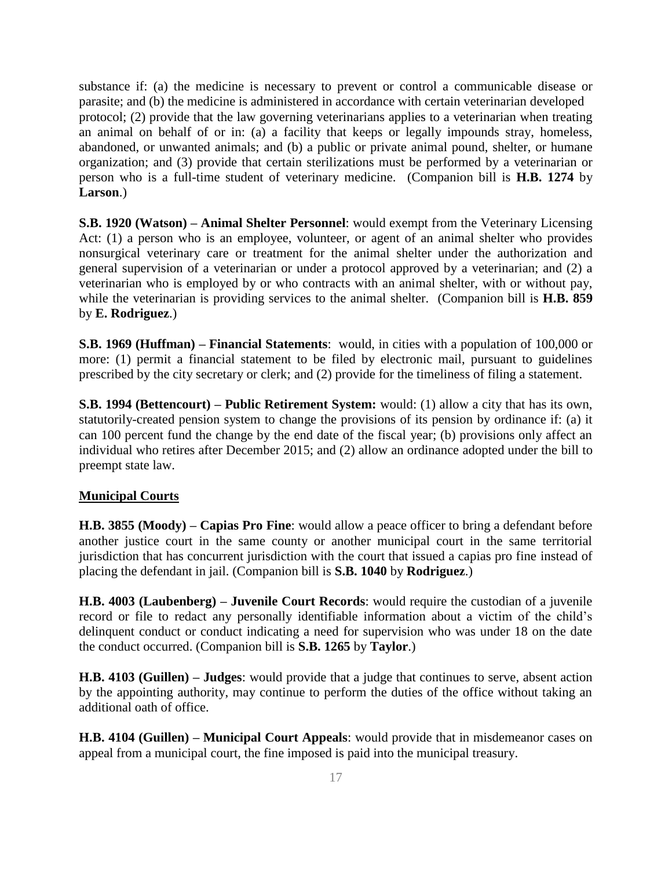substance if: (a) the medicine is necessary to prevent or control a communicable disease or parasite; and (b) the medicine is administered in accordance with certain veterinarian developed protocol; (2) provide that the law governing veterinarians applies to a veterinarian when treating an animal on behalf of or in: (a) a facility that keeps or legally impounds stray, homeless, abandoned, or unwanted animals; and (b) a public or private animal pound, shelter, or humane organization; and (3) provide that certain sterilizations must be performed by a veterinarian or person who is a full-time student of veterinary medicine. (Companion bill is **H.B. 1274** by **Larson**.)

**S.B. 1920 (Watson) – Animal Shelter Personnel**: would exempt from the Veterinary Licensing Act: (1) a person who is an employee, volunteer, or agent of an animal shelter who provides nonsurgical veterinary care or treatment for the animal shelter under the authorization and general supervision of a veterinarian or under a protocol approved by a veterinarian; and (2) a veterinarian who is employed by or who contracts with an animal shelter, with or without pay, while the veterinarian is providing services to the animal shelter. (Companion bill is **H.B. 859** by **E. Rodriguez**.)

**S.B. 1969 (Huffman) – Financial Statements**: would, in cities with a population of 100,000 or more: (1) permit a financial statement to be filed by electronic mail, pursuant to guidelines prescribed by the city secretary or clerk; and (2) provide for the timeliness of filing a statement.

**S.B. 1994 (Bettencourt) – Public Retirement System:** would: (1) allow a city that has its own, statutorily-created pension system to change the provisions of its pension by ordinance if: (a) it can 100 percent fund the change by the end date of the fiscal year; (b) provisions only affect an individual who retires after December 2015; and (2) allow an ordinance adopted under the bill to preempt state law.

#### **Municipal Courts**

**H.B. 3855 (Moody) – Capias Pro Fine**: would allow a peace officer to bring a defendant before another justice court in the same county or another municipal court in the same territorial jurisdiction that has concurrent jurisdiction with the court that issued a capias pro fine instead of placing the defendant in jail. (Companion bill is **S.B. 1040** by **Rodriguez**.)

**H.B. 4003 (Laubenberg) – Juvenile Court Records**: would require the custodian of a juvenile record or file to redact any personally identifiable information about a victim of the child's delinquent conduct or conduct indicating a need for supervision who was under 18 on the date the conduct occurred. (Companion bill is **S.B. 1265** by **Taylor**.)

**H.B. 4103 (Guillen) – Judges**: would provide that a judge that continues to serve, absent action by the appointing authority, may continue to perform the duties of the office without taking an additional oath of office.

**H.B. 4104 (Guillen) – Municipal Court Appeals**: would provide that in misdemeanor cases on appeal from a municipal court, the fine imposed is paid into the municipal treasury.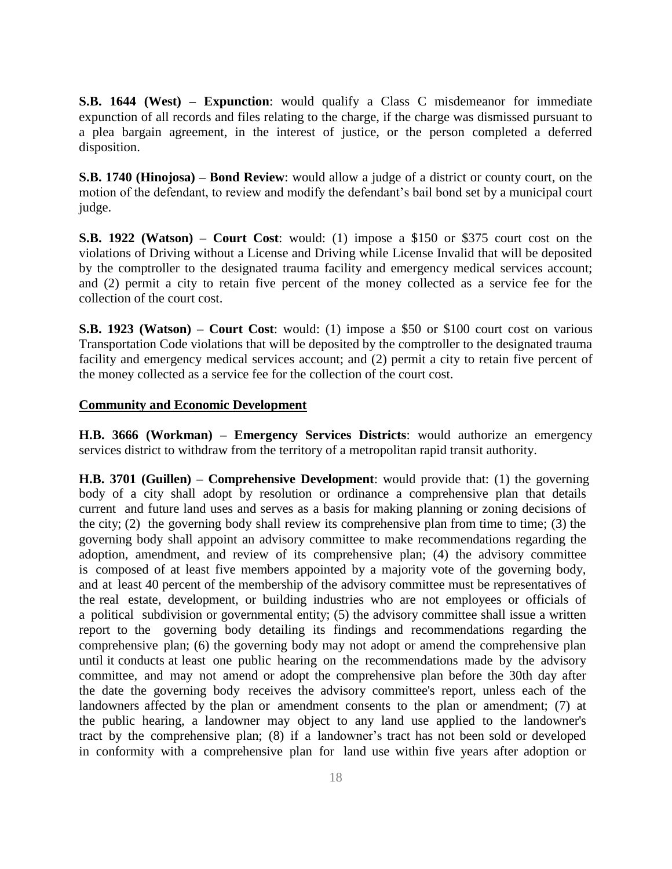**S.B. 1644 (West) – Expunction**: would qualify a Class C misdemeanor for immediate expunction of all records and files relating to the charge, if the charge was dismissed pursuant to a plea bargain agreement, in the interest of justice, or the person completed a deferred disposition.

**S.B. 1740 (Hinojosa) – Bond Review**: would allow a judge of a district or county court, on the motion of the defendant, to review and modify the defendant's bail bond set by a municipal court judge.

**S.B. 1922 (Watson) – Court Cost**: would: (1) impose a \$150 or \$375 court cost on the violations of Driving without a License and Driving while License Invalid that will be deposited by the comptroller to the designated trauma facility and emergency medical services account; and (2) permit a city to retain five percent of the money collected as a service fee for the collection of the court cost.

**S.B. 1923 (Watson) – Court Cost**: would: (1) impose a \$50 or \$100 court cost on various Transportation Code violations that will be deposited by the comptroller to the designated trauma facility and emergency medical services account; and (2) permit a city to retain five percent of the money collected as a service fee for the collection of the court cost.

#### **Community and Economic Development**

**H.B. 3666 (Workman) – Emergency Services Districts**: would authorize an emergency services district to withdraw from the territory of a metropolitan rapid transit authority.

**H.B. 3701 (Guillen) – Comprehensive Development**: would provide that: (1) the governing body of a city shall adopt by resolution or ordinance a comprehensive plan that details current and future land uses and serves as a basis for making planning or zoning decisions of the city; (2) the governing body shall review its comprehensive plan from time to time; (3) the governing body shall appoint an advisory committee to make recommendations regarding the adoption, amendment, and review of its comprehensive plan; (4) the advisory committee is composed of at least five members appointed by a majority vote of the governing body, and at least 40 percent of the membership of the advisory committee must be representatives of the real estate, development, or building industries who are not employees or officials of a political subdivision or governmental entity; (5) the advisory committee shall issue a written report to the governing body detailing its findings and recommendations regarding the comprehensive plan; (6) the governing body may not adopt or amend the comprehensive plan until it conducts at least one public hearing on the recommendations made by the advisory committee, and may not amend or adopt the comprehensive plan before the 30th day after the date the governing body receives the advisory committee's report, unless each of the landowners affected by the plan or amendment consents to the plan or amendment; (7) at the public hearing, a landowner may object to any land use applied to the landowner's tract by the comprehensive plan; (8) if a landowner's tract has not been sold or developed in conformity with a comprehensive plan for land use within five years after adoption or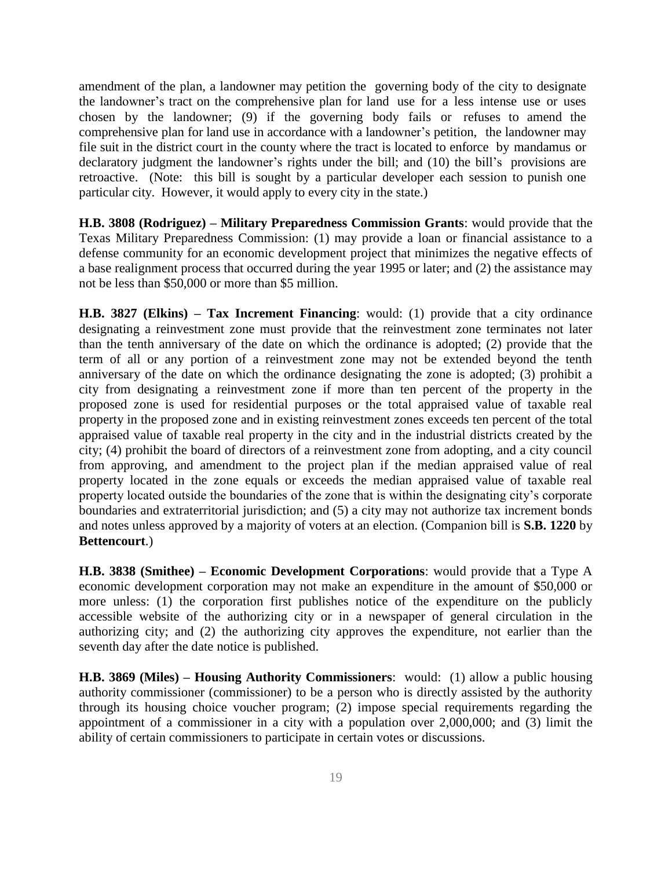amendment of the plan, a landowner may petition the governing body of the city to designate the landowner's tract on the comprehensive plan for land use for a less intense use or uses chosen by the landowner; (9) if the governing body fails or refuses to amend the comprehensive plan for land use in accordance with a landowner's petition, the landowner may file suit in the district court in the county where the tract is located to enforce by mandamus or declaratory judgment the landowner's rights under the bill; and (10) the bill's provisions are retroactive. (Note: this bill is sought by a particular developer each session to punish one particular city. However, it would apply to every city in the state.)

**H.B. 3808 (Rodriguez) – Military Preparedness Commission Grants**: would provide that the Texas Military Preparedness Commission: (1) may provide a loan or financial assistance to a defense community for an economic development project that minimizes the negative effects of a base realignment process that occurred during the year 1995 or later; and (2) the assistance may not be less than \$50,000 or more than \$5 million.

**H.B. 3827 (Elkins) – Tax Increment Financing**: would: (1) provide that a city ordinance designating a reinvestment zone must provide that the reinvestment zone terminates not later than the tenth anniversary of the date on which the ordinance is adopted; (2) provide that the term of all or any portion of a reinvestment zone may not be extended beyond the tenth anniversary of the date on which the ordinance designating the zone is adopted; (3) prohibit a city from designating a reinvestment zone if more than ten percent of the property in the proposed zone is used for residential purposes or the total appraised value of taxable real property in the proposed zone and in existing reinvestment zones exceeds ten percent of the total appraised value of taxable real property in the city and in the industrial districts created by the city; (4) prohibit the board of directors of a reinvestment zone from adopting, and a city council from approving, and amendment to the project plan if the median appraised value of real property located in the zone equals or exceeds the median appraised value of taxable real property located outside the boundaries of the zone that is within the designating city's corporate boundaries and extraterritorial jurisdiction; and (5) a city may not authorize tax increment bonds and notes unless approved by a majority of voters at an election. (Companion bill is **S.B. 1220** by **Bettencourt**.)

**H.B. 3838 (Smithee) – Economic Development Corporations**: would provide that a Type A economic development corporation may not make an expenditure in the amount of \$50,000 or more unless: (1) the corporation first publishes notice of the expenditure on the publicly accessible website of the authorizing city or in a newspaper of general circulation in the authorizing city; and (2) the authorizing city approves the expenditure, not earlier than the seventh day after the date notice is published.

**H.B. 3869 (Miles) – Housing Authority Commissioners**: would: (1) allow a public housing authority commissioner (commissioner) to be a person who is directly assisted by the authority through its housing choice voucher program; (2) impose special requirements regarding the appointment of a commissioner in a city with a population over 2,000,000; and (3) limit the ability of certain commissioners to participate in certain votes or discussions.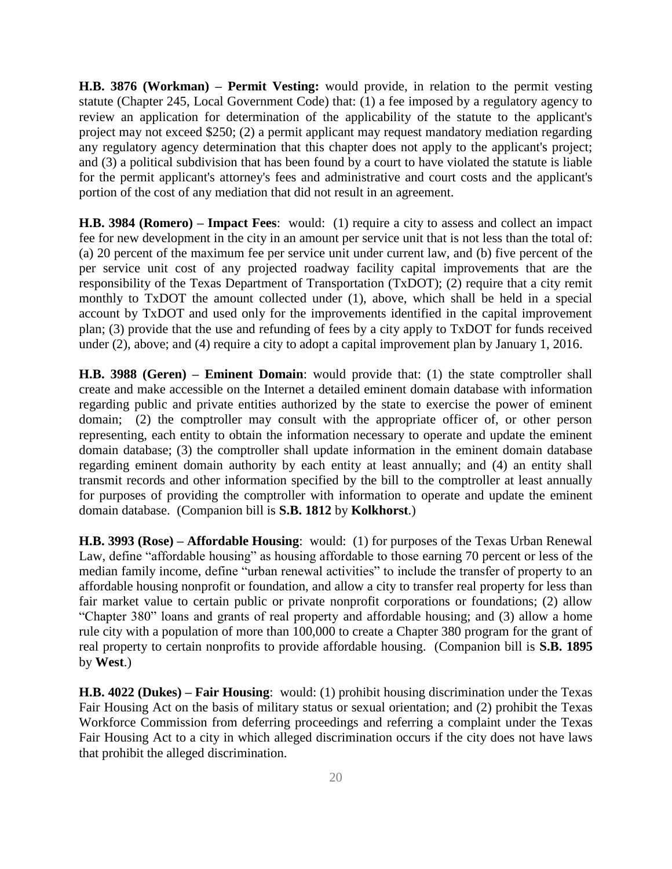**H.B. 3876 (Workman) – Permit Vesting:** would provide, in relation to the permit vesting statute (Chapter 245, Local Government Code) that: (1) a fee imposed by a regulatory agency to review an application for determination of the applicability of the statute to the applicant's project may not exceed \$250; (2) a permit applicant may request mandatory mediation regarding any regulatory agency determination that this chapter does not apply to the applicant's project; and (3) a political subdivision that has been found by a court to have violated the statute is liable for the permit applicant's attorney's fees and administrative and court costs and the applicant's portion of the cost of any mediation that did not result in an agreement.

**H.B. 3984 (Romero) – Impact Fees**: would: (1) require a city to assess and collect an impact fee for new development in the city in an amount per service unit that is not less than the total of: (a) 20 percent of the maximum fee per service unit under current law, and (b) five percent of the per service unit cost of any projected roadway facility capital improvements that are the responsibility of the Texas Department of Transportation (TxDOT); (2) require that a city remit monthly to TxDOT the amount collected under (1), above, which shall be held in a special account by TxDOT and used only for the improvements identified in the capital improvement plan; (3) provide that the use and refunding of fees by a city apply to TxDOT for funds received under (2), above; and (4) require a city to adopt a capital improvement plan by January 1, 2016.

**H.B. 3988 (Geren) – Eminent Domain**: would provide that: (1) the state comptroller shall create and make accessible on the Internet a detailed eminent domain database with information regarding public and private entities authorized by the state to exercise the power of eminent domain; (2) the comptroller may consult with the appropriate officer of, or other person representing, each entity to obtain the information necessary to operate and update the eminent domain database; (3) the comptroller shall update information in the eminent domain database regarding eminent domain authority by each entity at least annually; and (4) an entity shall transmit records and other information specified by the bill to the comptroller at least annually for purposes of providing the comptroller with information to operate and update the eminent domain database. (Companion bill is **S.B. 1812** by **Kolkhorst**.)

**H.B. 3993 (Rose) – Affordable Housing**: would: (1) for purposes of the Texas Urban Renewal Law, define "affordable housing" as housing affordable to those earning 70 percent or less of the median family income, define "urban renewal activities" to include the transfer of property to an affordable housing nonprofit or foundation, and allow a city to transfer real property for less than fair market value to certain public or private nonprofit corporations or foundations; (2) allow "Chapter 380" loans and grants of real property and affordable housing; and (3) allow a home rule city with a population of more than 100,000 to create a Chapter 380 program for the grant of real property to certain nonprofits to provide affordable housing. (Companion bill is **S.B. 1895** by **West**.)

**H.B. 4022 (Dukes) – Fair Housing**: would: (1) prohibit housing discrimination under the Texas Fair Housing Act on the basis of military status or sexual orientation; and (2) prohibit the Texas Workforce Commission from deferring proceedings and referring a complaint under the Texas Fair Housing Act to a city in which alleged discrimination occurs if the city does not have laws that prohibit the alleged discrimination.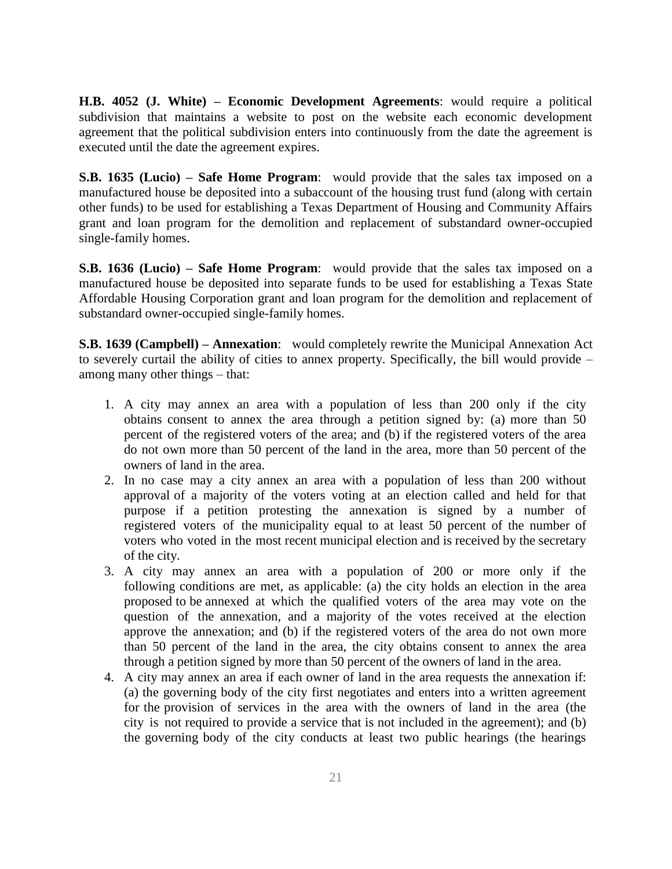**H.B. 4052 (J. White) – Economic Development Agreements**: would require a political subdivision that maintains a website to post on the website each economic development agreement that the political subdivision enters into continuously from the date the agreement is executed until the date the agreement expires.

**S.B. 1635 (Lucio) – Safe Home Program**: would provide that the sales tax imposed on a manufactured house be deposited into a subaccount of the housing trust fund (along with certain other funds) to be used for establishing a Texas Department of Housing and Community Affairs grant and loan program for the demolition and replacement of substandard owner-occupied single-family homes.

**S.B. 1636 (Lucio) – Safe Home Program**: would provide that the sales tax imposed on a manufactured house be deposited into separate funds to be used for establishing a Texas State Affordable Housing Corporation grant and loan program for the demolition and replacement of substandard owner-occupied single-family homes.

**S.B. 1639 (Campbell) – Annexation**: would completely rewrite the Municipal Annexation Act to severely curtail the ability of cities to annex property. Specifically, the bill would provide – among many other things – that:

- 1. A city may annex an area with a population of less than 200 only if the city obtains consent to annex the area through a petition signed by: (a) more than 50 percent of the registered voters of the area; and (b) if the registered voters of the area do not own more than 50 percent of the land in the area, more than 50 percent of the owners of land in the area.
- 2. In no case may a city annex an area with a population of less than 200 without approval of a majority of the voters voting at an election called and held for that purpose if a petition protesting the annexation is signed by a number of registered voters of the municipality equal to at least 50 percent of the number of voters who voted in the most recent municipal election and is received by the secretary of the city.
- 3. A city may annex an area with a population of 200 or more only if the following conditions are met, as applicable: (a) the city holds an election in the area proposed to be annexed at which the qualified voters of the area may vote on the question of the annexation, and a majority of the votes received at the election approve the annexation; and (b) if the registered voters of the area do not own more than 50 percent of the land in the area, the city obtains consent to annex the area through a petition signed by more than 50 percent of the owners of land in the area.
- 4. A city may annex an area if each owner of land in the area requests the annexation if: (a) the governing body of the city first negotiates and enters into a written agreement for the provision of services in the area with the owners of land in the area (the city is not required to provide a service that is not included in the agreement); and (b) the governing body of the city conducts at least two public hearings (the hearings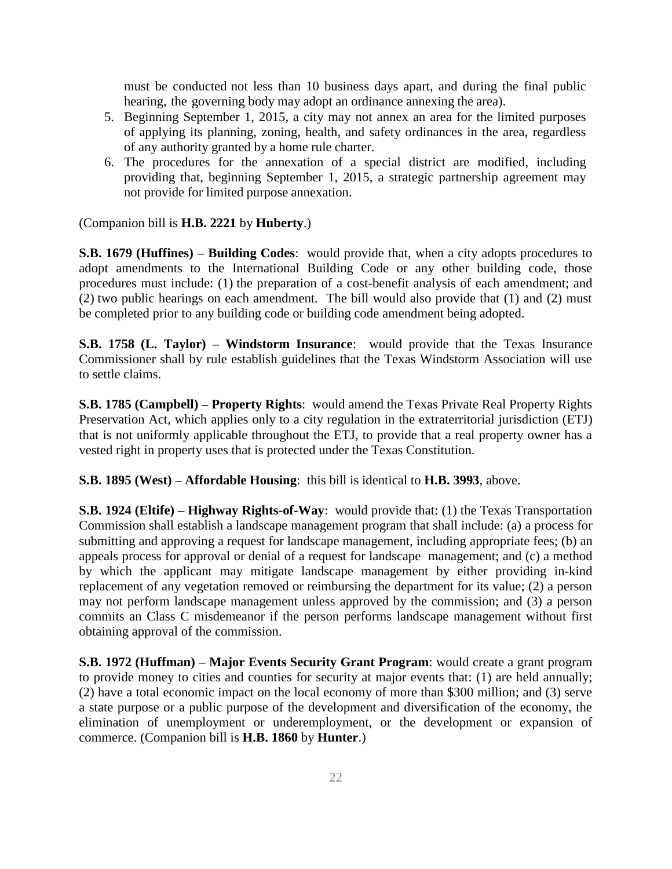must be conducted not less than 10 business days apart, and during the final public hearing, the governing body may adopt an ordinance annexing the area).

- 5. Beginning September 1, 2015, a city may not annex an area for the limited purposes of applying its planning, zoning, health, and safety ordinances in the area, regardless of any authority granted by a home rule charter.
- 6. The procedures for the annexation of a special district are modified, including providing that, beginning September 1, 2015, a strategic partnership agreement may not provide for limited purpose annexation.

(Companion bill is **H.B. 2221** by **Huberty**.)

**S.B. 1679 (Huffines) – Building Codes**: would provide that, when a city adopts procedures to adopt amendments to the International Building Code or any other building code, those procedures must include: (1) the preparation of a cost-benefit analysis of each amendment; and (2) two public hearings on each amendment. The bill would also provide that (1) and (2) must be completed prior to any building code or building code amendment being adopted.

**S.B. 1758 (L. Taylor) – Windstorm Insurance**: would provide that the Texas Insurance Commissioner shall by rule establish guidelines that the Texas Windstorm Association will use to settle claims.

**S.B. 1785 (Campbell) – Property Rights**: would amend the Texas Private Real Property Rights Preservation Act, which applies only to a city regulation in the extraterritorial jurisdiction (ETJ) that is not uniformly applicable throughout the ETJ, to provide that a real property owner has a vested right in property uses that is protected under the Texas Constitution.

**S.B. 1895 (West) – Affordable Housing**: this bill is identical to **H.B. 3993**, above.

**S.B. 1924 (Eltife) – Highway Rights-of-Way**: would provide that: (1) the Texas Transportation Commission shall establish a landscape management program that shall include: (a) a process for submitting and approving a request for landscape management, including appropriate fees; (b) an appeals process for approval or denial of a request for landscape management; and (c) a method by which the applicant may mitigate landscape management by either providing in-kind replacement of any vegetation removed or reimbursing the department for its value; (2) a person may not perform landscape management unless approved by the commission; and (3) a person commits an Class C misdemeanor if the person performs landscape management without first obtaining approval of the commission.

**S.B. 1972 (Huffman) – Major Events Security Grant Program**: would create a grant program to provide money to cities and counties for security at major events that: (1) are held annually; (2) have a total economic impact on the local economy of more than \$300 million; and (3) serve a state purpose or a public purpose of the development and diversification of the economy, the elimination of unemployment or underemployment, or the development or expansion of commerce. (Companion bill is **H.B. 1860** by **Hunter**.)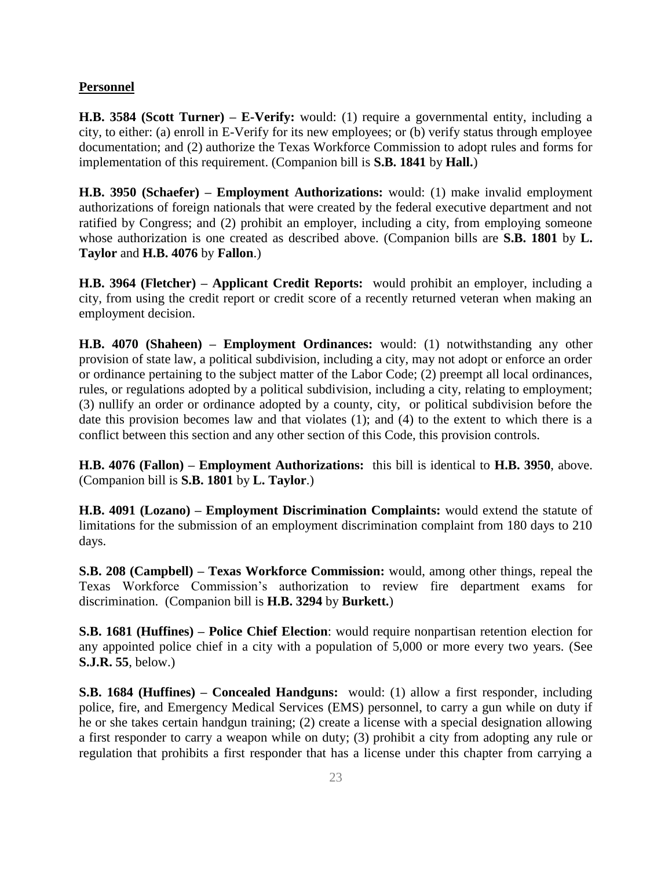#### **Personnel**

**H.B. 3584 (Scott Turner) – E-Verify:** would: (1) require a governmental entity, including a city, to either: (a) enroll in E-Verify for its new employees; or (b) verify status through employee documentation; and (2) authorize the Texas Workforce Commission to adopt rules and forms for implementation of this requirement. (Companion bill is **S.B. 1841** by **Hall.**)

**H.B. 3950 (Schaefer) – Employment Authorizations:** would: (1) make invalid employment authorizations of foreign nationals that were created by the federal executive department and not ratified by Congress; and (2) prohibit an employer, including a city, from employing someone whose authorization is one created as described above. (Companion bills are **S.B. 1801** by **L. Taylor** and **H.B. 4076** by **Fallon**.)

**H.B. 3964 (Fletcher) – Applicant Credit Reports:** would prohibit an employer, including a city, from using the credit report or credit score of a recently returned veteran when making an employment decision.

**H.B. 4070 (Shaheen) – Employment Ordinances:** would: (1) notwithstanding any other provision of state law, a political subdivision, including a city, may not adopt or enforce an order or ordinance pertaining to the subject matter of the Labor Code; (2) preempt all local ordinances, rules, or regulations adopted by a political subdivision, including a city, relating to employment; (3) nullify an order or ordinance adopted by a county, city, or political subdivision before the date this provision becomes law and that violates (1); and (4) to the extent to which there is a conflict between this section and any other section of this Code, this provision controls.

**H.B. 4076 (Fallon) – Employment Authorizations:** this bill is identical to **H.B. 3950**, above. (Companion bill is **S.B. 1801** by **L. Taylor**.)

**H.B. 4091 (Lozano) – Employment Discrimination Complaints:** would extend the statute of limitations for the submission of an employment discrimination complaint from 180 days to 210 days.

**S.B. 208 (Campbell) – Texas Workforce Commission:** would, among other things, repeal the Texas Workforce Commission's authorization to review fire department exams for discrimination. (Companion bill is **H.B. 3294** by **Burkett.**)

**S.B. 1681 (Huffines) – Police Chief Election**: would require nonpartisan retention election for any appointed police chief in a city with a population of 5,000 or more every two years. (See **S.J.R. 55**, below.)

**S.B. 1684 (Huffines) – Concealed Handguns:** would: (1) allow a first responder, including police, fire, and Emergency Medical Services (EMS) personnel, to carry a gun while on duty if he or she takes certain handgun training; (2) create a license with a special designation allowing a first responder to carry a weapon while on duty; (3) prohibit a city from adopting any rule or regulation that prohibits a first responder that has a license under this chapter from carrying a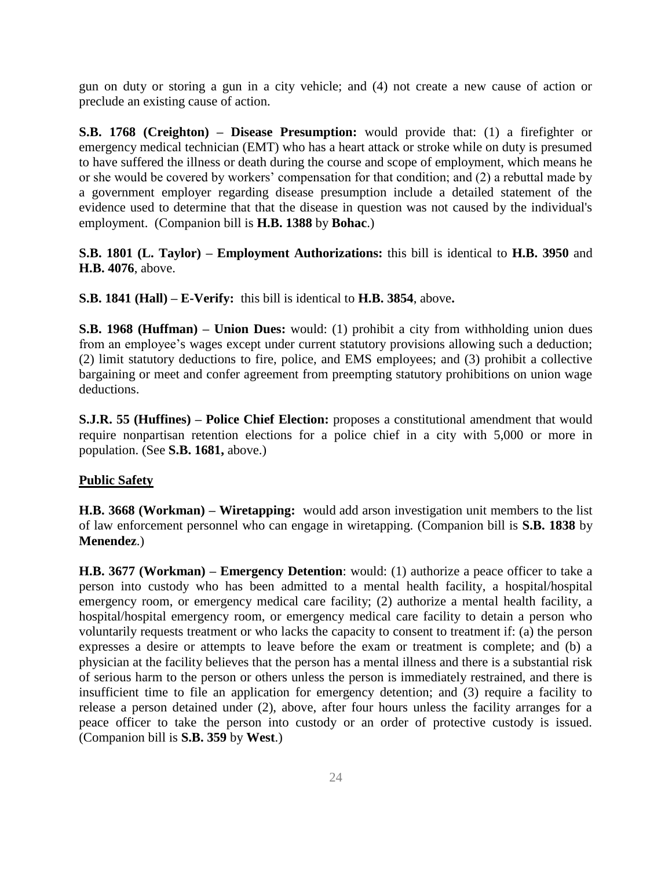gun on duty or storing a gun in a city vehicle; and (4) not create a new cause of action or preclude an existing cause of action.

**S.B. 1768 (Creighton) – Disease Presumption:** would provide that: (1) a firefighter or emergency medical technician (EMT) who has a heart attack or stroke while on duty is presumed to have suffered the illness or death during the course and scope of employment, which means he or she would be covered by workers' compensation for that condition; and (2) a rebuttal made by a government employer regarding disease presumption include a detailed statement of the evidence used to determine that that the disease in question was not caused by the individual's employment. (Companion bill is **H.B. 1388** by **Bohac**.)

**S.B. 1801 (L. Taylor) – Employment Authorizations:** this bill is identical to **H.B. 3950** and **H.B. 4076**, above.

**S.B. 1841 (Hall) – E-Verify:** this bill is identical to **H.B. 3854**, above**.**

**S.B. 1968 (Huffman) – Union Dues:** would: (1) prohibit a city from withholding union dues from an employee's wages except under current statutory provisions allowing such a deduction; (2) limit statutory deductions to fire, police, and EMS employees; and (3) prohibit a collective bargaining or meet and confer agreement from preempting statutory prohibitions on union wage deductions.

**S.J.R. 55 (Huffines) – Police Chief Election:** proposes a constitutional amendment that would require nonpartisan retention elections for a police chief in a city with 5,000 or more in population. (See **S.B. 1681,** above.)

#### **Public Safety**

**H.B. 3668 (Workman) – Wiretapping:** would add arson investigation unit members to the list of law enforcement personnel who can engage in wiretapping. (Companion bill is **S.B. 1838** by **Menendez**.)

**H.B. 3677 (Workman) – Emergency Detention**: would: (1) authorize a peace officer to take a person into custody who has been admitted to a mental health facility, a hospital/hospital emergency room, or emergency medical care facility; (2) authorize a mental health facility, a hospital/hospital emergency room, or emergency medical care facility to detain a person who voluntarily requests treatment or who lacks the capacity to consent to treatment if: (a) the person expresses a desire or attempts to leave before the exam or treatment is complete; and (b) a physician at the facility believes that the person has a mental illness and there is a substantial risk of serious harm to the person or others unless the person is immediately restrained, and there is insufficient time to file an application for emergency detention; and (3) require a facility to release a person detained under (2), above, after four hours unless the facility arranges for a peace officer to take the person into custody or an order of protective custody is issued. (Companion bill is **S.B. 359** by **West**.)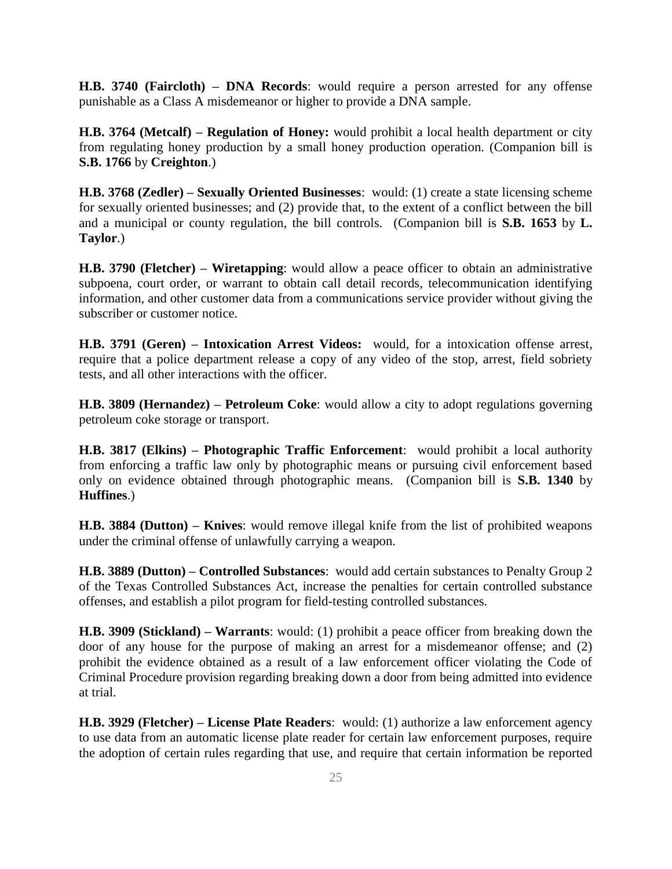**H.B. 3740 (Faircloth) – DNA Records**: would require a person arrested for any offense punishable as a Class A misdemeanor or higher to provide a DNA sample.

**H.B. 3764 (Metcalf) – Regulation of Honey:** would prohibit a local health department or city from regulating honey production by a small honey production operation. (Companion bill is **S.B. 1766** by **Creighton**.)

**H.B. 3768 (Zedler) – Sexually Oriented Businesses**: would: (1) create a state licensing scheme for sexually oriented businesses; and (2) provide that, to the extent of a conflict between the bill and a municipal or county regulation, the bill controls. (Companion bill is **S.B. 1653** by **L. Taylor**.)

**H.B. 3790 (Fletcher) – Wiretapping**: would allow a peace officer to obtain an administrative subpoena, court order, or warrant to obtain call detail records, telecommunication identifying information, and other customer data from a communications service provider without giving the subscriber or customer notice.

**H.B. 3791 (Geren) – Intoxication Arrest Videos:** would, for a intoxication offense arrest, require that a police department release a copy of any video of the stop, arrest, field sobriety tests, and all other interactions with the officer.

**H.B. 3809 (Hernandez) – Petroleum Coke**: would allow a city to adopt regulations governing petroleum coke storage or transport.

**H.B. 3817 (Elkins) – Photographic Traffic Enforcement**: would prohibit a local authority from enforcing a traffic law only by photographic means or pursuing civil enforcement based only on evidence obtained through photographic means. (Companion bill is **S.B. 1340** by **Huffines**.)

**H.B. 3884 (Dutton) – Knives**: would remove illegal knife from the list of prohibited weapons under the criminal offense of unlawfully carrying a weapon.

**H.B. 3889 (Dutton) – Controlled Substances**: would add certain substances to Penalty Group 2 of the Texas Controlled Substances Act, increase the penalties for certain controlled substance offenses, and establish a pilot program for field-testing controlled substances.

**H.B. 3909 (Stickland) – Warrants**: would: (1) prohibit a peace officer from breaking down the door of any house for the purpose of making an arrest for a misdemeanor offense; and (2) prohibit the evidence obtained as a result of a law enforcement officer violating the Code of Criminal Procedure provision regarding breaking down a door from being admitted into evidence at trial.

**H.B. 3929 (Fletcher) – License Plate Readers**: would: (1) authorize a law enforcement agency to use data from an automatic license plate reader for certain law enforcement purposes, require the adoption of certain rules regarding that use, and require that certain information be reported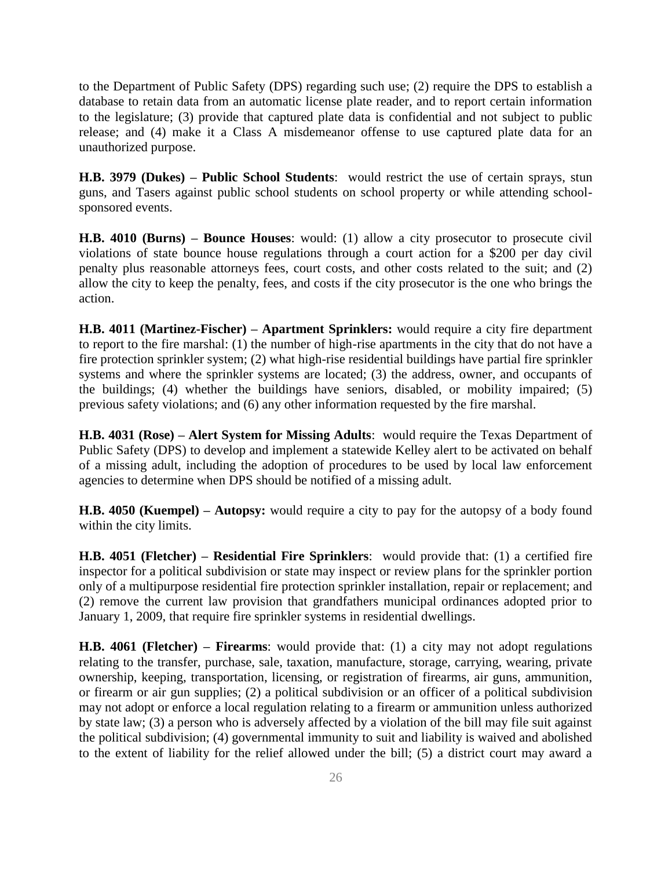to the Department of Public Safety (DPS) regarding such use; (2) require the DPS to establish a database to retain data from an automatic license plate reader, and to report certain information to the legislature; (3) provide that captured plate data is confidential and not subject to public release; and (4) make it a Class A misdemeanor offense to use captured plate data for an unauthorized purpose.

**H.B. 3979 (Dukes) – Public School Students**: would restrict the use of certain sprays, stun guns, and Tasers against public school students on school property or while attending schoolsponsored events.

**H.B. 4010 (Burns) – Bounce Houses**: would: (1) allow a city prosecutor to prosecute civil violations of state bounce house regulations through a court action for a \$200 per day civil penalty plus reasonable attorneys fees, court costs, and other costs related to the suit; and (2) allow the city to keep the penalty, fees, and costs if the city prosecutor is the one who brings the action.

**H.B. 4011 (Martinez-Fischer) – Apartment Sprinklers:** would require a city fire department to report to the fire marshal: (1) the number of high-rise apartments in the city that do not have a fire protection sprinkler system; (2) what high-rise residential buildings have partial fire sprinkler systems and where the sprinkler systems are located; (3) the address, owner, and occupants of the buildings; (4) whether the buildings have seniors, disabled, or mobility impaired; (5) previous safety violations; and (6) any other information requested by the fire marshal.

**H.B. 4031 (Rose) – Alert System for Missing Adults**: would require the Texas Department of Public Safety (DPS) to develop and implement a statewide Kelley alert to be activated on behalf of a missing adult, including the adoption of procedures to be used by local law enforcement agencies to determine when DPS should be notified of a missing adult.

**H.B. 4050 (Kuempel) – Autopsy:** would require a city to pay for the autopsy of a body found within the city limits.

**H.B. 4051 (Fletcher) – Residential Fire Sprinklers**: would provide that: (1) a certified fire inspector for a political subdivision or state may inspect or review plans for the sprinkler portion only of a multipurpose residential fire protection sprinkler installation, repair or replacement; and (2) remove the current law provision that grandfathers municipal ordinances adopted prior to January 1, 2009, that require fire sprinkler systems in residential dwellings.

**H.B. 4061 (Fletcher) – Firearms**: would provide that: (1) a city may not adopt regulations relating to the transfer, purchase, sale, taxation, manufacture, storage, carrying, wearing, private ownership, keeping, transportation, licensing, or registration of firearms, air guns, ammunition, or firearm or air gun supplies; (2) a political subdivision or an officer of a political subdivision may not adopt or enforce a local regulation relating to a firearm or ammunition unless authorized by state law; (3) a person who is adversely affected by a violation of the bill may file suit against the political subdivision; (4) governmental immunity to suit and liability is waived and abolished to the extent of liability for the relief allowed under the bill; (5) a district court may award a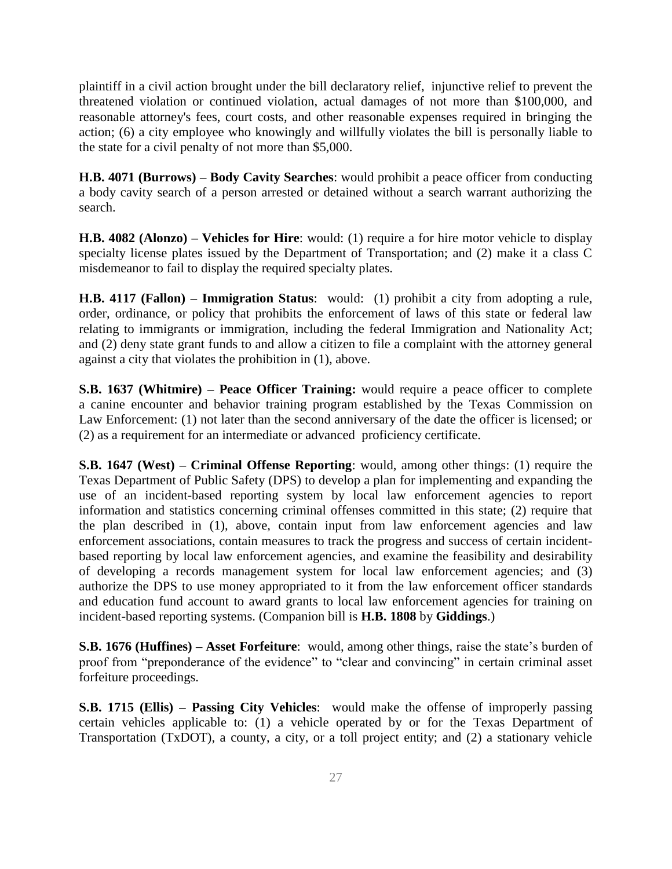plaintiff in a civil action brought under the bill declaratory relief, injunctive relief to prevent the threatened violation or continued violation, actual damages of not more than \$100,000, and reasonable attorney's fees, court costs, and other reasonable expenses required in bringing the action; (6) a city employee who knowingly and willfully violates the bill is personally liable to the state for a civil penalty of not more than \$5,000.

**H.B. 4071 (Burrows) – Body Cavity Searches**: would prohibit a peace officer from conducting a body cavity search of a person arrested or detained without a search warrant authorizing the search.

**H.B. 4082 (Alonzo) – Vehicles for Hire**: would: (1) require a for hire motor vehicle to display specialty license plates issued by the Department of Transportation; and (2) make it a class C misdemeanor to fail to display the required specialty plates.

**H.B. 4117 (Fallon) – Immigration Status**: would: (1) prohibit a city from adopting a rule, order, ordinance, or policy that prohibits the enforcement of laws of this state or federal law relating to immigrants or immigration, including the federal Immigration and Nationality Act; and (2) deny state grant funds to and allow a citizen to file a complaint with the attorney general against a city that violates the prohibition in (1), above.

**S.B. 1637 (Whitmire) – Peace Officer Training:** would require a peace officer to complete a canine encounter and behavior training program established by the Texas Commission on Law Enforcement: (1) not later than the second anniversary of the date the officer is licensed; or (2) as a requirement for an intermediate or advanced proficiency certificate.

**S.B. 1647 (West) – Criminal Offense Reporting**: would, among other things: (1) require the Texas Department of Public Safety (DPS) to develop a plan for implementing and expanding the use of an incident-based reporting system by local law enforcement agencies to report information and statistics concerning criminal offenses committed in this state; (2) require that the plan described in (1), above, contain input from law enforcement agencies and law enforcement associations, contain measures to track the progress and success of certain incidentbased reporting by local law enforcement agencies, and examine the feasibility and desirability of developing a records management system for local law enforcement agencies; and (3) authorize the DPS to use money appropriated to it from the law enforcement officer standards and education fund account to award grants to local law enforcement agencies for training on incident-based reporting systems. (Companion bill is **H.B. 1808** by **Giddings**.)

**S.B. 1676 (Huffines) – Asset Forfeiture**: would, among other things, raise the state's burden of proof from "preponderance of the evidence" to "clear and convincing" in certain criminal asset forfeiture proceedings.

**S.B. 1715 (Ellis) – Passing City Vehicles**: would make the offense of improperly passing certain vehicles applicable to: (1) a vehicle operated by or for the Texas Department of Transportation (TxDOT), a county, a city, or a toll project entity; and (2) a stationary vehicle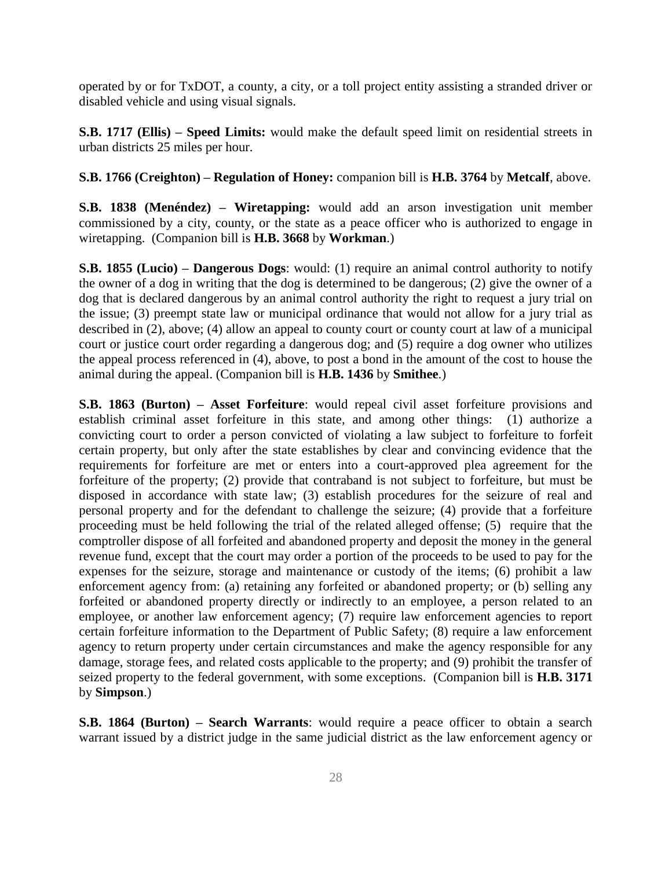operated by or for TxDOT, a county, a city, or a toll project entity assisting a stranded driver or disabled vehicle and using visual signals.

**S.B. 1717 (Ellis) – Speed Limits:** would make the default speed limit on residential streets in urban districts 25 miles per hour.

### **S.B. 1766 (Creighton) – Regulation of Honey:** companion bill is **H.B. 3764** by **Metcalf**, above.

**S.B. 1838 (Menéndez) – Wiretapping:** would add an arson investigation unit member commissioned by a city, county, or the state as a peace officer who is authorized to engage in wiretapping. (Companion bill is **H.B. 3668** by **Workman**.)

**S.B. 1855 (Lucio) – Dangerous Dogs**: would: (1) require an animal control authority to notify the owner of a dog in writing that the dog is determined to be dangerous; (2) give the owner of a dog that is declared dangerous by an animal control authority the right to request a jury trial on the issue; (3) preempt state law or municipal ordinance that would not allow for a jury trial as described in (2), above; (4) allow an appeal to county court or county court at law of a municipal court or justice court order regarding a dangerous dog; and (5) require a dog owner who utilizes the appeal process referenced in (4), above, to post a bond in the amount of the cost to house the animal during the appeal. (Companion bill is **H.B. 1436** by **Smithee**.)

**S.B. 1863 (Burton) – Asset Forfeiture**: would repeal civil asset forfeiture provisions and establish criminal asset forfeiture in this state, and among other things: (1) authorize a convicting court to order a person convicted of violating a law subject to forfeiture to forfeit certain property, but only after the state establishes by clear and convincing evidence that the requirements for forfeiture are met or enters into a court-approved plea agreement for the forfeiture of the property; (2) provide that contraband is not subject to forfeiture, but must be disposed in accordance with state law; (3) establish procedures for the seizure of real and personal property and for the defendant to challenge the seizure; (4) provide that a forfeiture proceeding must be held following the trial of the related alleged offense; (5) require that the comptroller dispose of all forfeited and abandoned property and deposit the money in the general revenue fund, except that the court may order a portion of the proceeds to be used to pay for the expenses for the seizure, storage and maintenance or custody of the items; (6) prohibit a law enforcement agency from: (a) retaining any forfeited or abandoned property; or (b) selling any forfeited or abandoned property directly or indirectly to an employee, a person related to an employee, or another law enforcement agency; (7) require law enforcement agencies to report certain forfeiture information to the Department of Public Safety; (8) require a law enforcement agency to return property under certain circumstances and make the agency responsible for any damage, storage fees, and related costs applicable to the property; and (9) prohibit the transfer of seized property to the federal government, with some exceptions. (Companion bill is **H.B. 3171**  by **Simpson**.)

**S.B. 1864 (Burton) – Search Warrants**: would require a peace officer to obtain a search warrant issued by a district judge in the same judicial district as the law enforcement agency or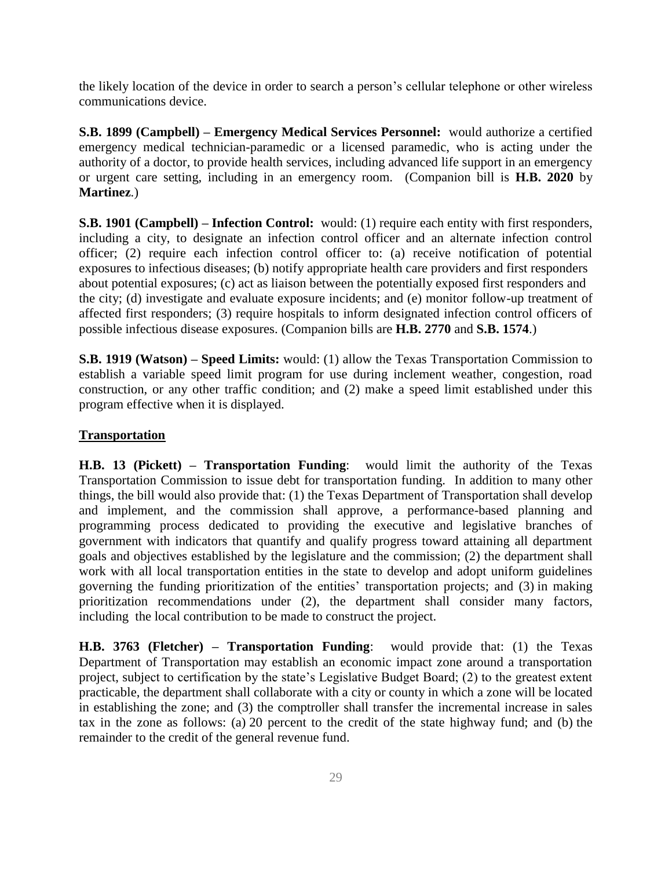the likely location of the device in order to search a person's cellular telephone or other wireless communications device.

**S.B. 1899 (Campbell) – Emergency Medical Services Personnel:** would authorize a certified emergency medical technician-paramedic or a licensed paramedic, who is acting under the authority of a doctor, to provide health services, including advanced life support in an emergency or urgent care setting, including in an emergency room. (Companion bill is **H.B. 2020** by **Martinez**.)

**S.B. 1901 (Campbell) – Infection Control:** would: (1) require each entity with first responders, including a city, to designate an infection control officer and an alternate infection control officer; (2) require each infection control officer to: (a) receive notification of potential exposures to infectious diseases; (b) notify appropriate health care providers and first responders about potential exposures; (c) act as liaison between the potentially exposed first responders and the city; (d) investigate and evaluate exposure incidents; and (e) monitor follow-up treatment of affected first responders; (3) require hospitals to inform designated infection control officers of possible infectious disease exposures. (Companion bills are **H.B. 2770** and **S.B. 1574**.)

**S.B. 1919 (Watson) – Speed Limits:** would: (1) allow the Texas Transportation Commission to establish a variable speed limit program for use during inclement weather, congestion, road construction, or any other traffic condition; and (2) make a speed limit established under this program effective when it is displayed.

### **Transportation**

**H.B. 13 (Pickett) – Transportation Funding**: would limit the authority of the Texas Transportation Commission to issue debt for transportation funding. In addition to many other things, the bill would also provide that: (1) the Texas Department of Transportation shall develop and implement, and the commission shall approve, a performance-based planning and programming process dedicated to providing the executive and legislative branches of government with indicators that quantify and qualify progress toward attaining all department goals and objectives established by the legislature and the commission; (2) the department shall work with all local transportation entities in the state to develop and adopt uniform guidelines governing the funding prioritization of the entities' transportation projects; and (3) in making prioritization recommendations under (2), the department shall consider many factors, including the local contribution to be made to construct the project.

**H.B. 3763 (Fletcher) – Transportation Funding**: would provide that: (1) the Texas Department of Transportation may establish an economic impact zone around a transportation project, subject to certification by the state's Legislative Budget Board; (2) to the greatest extent practicable, the department shall collaborate with a city or county in which a zone will be located in establishing the zone; and (3) the comptroller shall transfer the incremental increase in sales tax in the zone as follows: (a) 20 percent to the credit of the state highway fund; and (b) the remainder to the credit of the general revenue fund.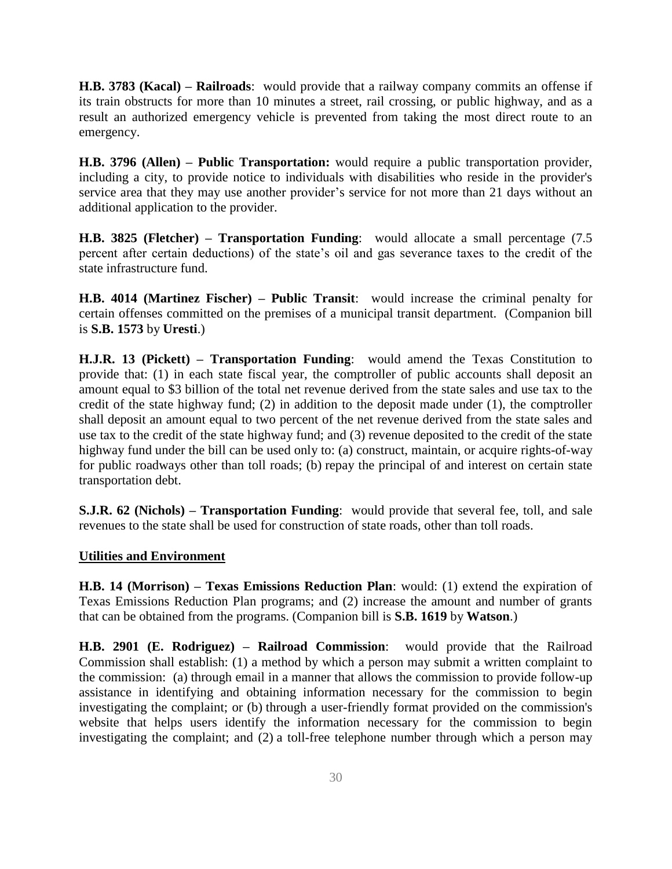**H.B. 3783 (Kacal) – Railroads**: would provide that a railway company commits an offense if its train obstructs for more than 10 minutes a street, rail crossing, or public highway, and as a result an authorized emergency vehicle is prevented from taking the most direct route to an emergency.

**H.B. 3796 (Allen) – Public Transportation:** would require a public transportation provider, including a city, to provide notice to individuals with disabilities who reside in the provider's service area that they may use another provider's service for not more than 21 days without an additional application to the provider.

**H.B. 3825 (Fletcher) – Transportation Funding**: would allocate a small percentage (7.5 percent after certain deductions) of the state's oil and gas severance taxes to the credit of the state infrastructure fund.

**H.B. 4014 (Martinez Fischer) – Public Transit**: would increase the criminal penalty for certain offenses committed on the premises of a municipal transit department. (Companion bill is **S.B. 1573** by **Uresti**.)

**H.J.R. 13 (Pickett) – Transportation Funding**: would amend the Texas Constitution to provide that: (1) in each state fiscal year, the comptroller of public accounts shall deposit an amount equal to \$3 billion of the total net revenue derived from the state sales and use tax to the credit of the state highway fund; (2) in addition to the deposit made under (1), the comptroller shall deposit an amount equal to two percent of the net revenue derived from the state sales and use tax to the credit of the state highway fund; and (3) revenue deposited to the credit of the state highway fund under the bill can be used only to: (a) construct, maintain, or acquire rights-of-way for public roadways other than toll roads; (b) repay the principal of and interest on certain state transportation debt.

**S.J.R. 62 (Nichols) – Transportation Funding**: would provide that several fee, toll, and sale revenues to the state shall be used for construction of state roads, other than toll roads.

#### **Utilities and Environment**

**H.B. 14 (Morrison) – Texas Emissions Reduction Plan**: would: (1) extend the expiration of Texas Emissions Reduction Plan programs; and (2) increase the amount and number of grants that can be obtained from the programs. (Companion bill is **S.B. 1619** by **Watson**.)

**H.B. 2901 (E. Rodriguez) – Railroad Commission**: would provide that the Railroad Commission shall establish: (1) a method by which a person may submit a written complaint to the commission: (a) through email in a manner that allows the commission to provide follow-up assistance in identifying and obtaining information necessary for the commission to begin investigating the complaint; or (b) through a user-friendly format provided on the commission's website that helps users identify the information necessary for the commission to begin investigating the complaint; and (2) a toll-free telephone number through which a person may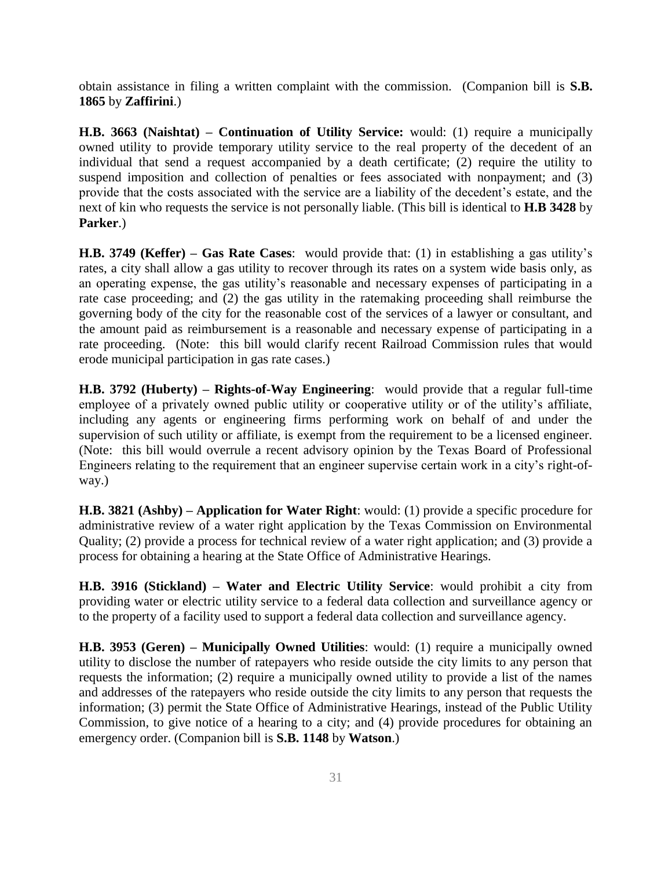obtain assistance in filing a written complaint with the commission. (Companion bill is **S.B. 1865** by **Zaffirini**.)

**H.B. 3663 (Naishtat) – Continuation of Utility Service:** would: (1) require a municipally owned utility to provide temporary utility service to the real property of the decedent of an individual that send a request accompanied by a death certificate; (2) require the utility to suspend imposition and collection of penalties or fees associated with nonpayment; and (3) provide that the costs associated with the service are a liability of the decedent's estate, and the next of kin who requests the service is not personally liable. (This bill is identical to **H.B 3428** by **Parker**.)

**H.B. 3749 (Keffer) – Gas Rate Cases**: would provide that: (1) in establishing a gas utility's rates, a city shall allow a gas utility to recover through its rates on a system wide basis only, as an operating expense, the gas utility's reasonable and necessary expenses of participating in a rate case proceeding; and (2) the gas utility in the ratemaking proceeding shall reimburse the governing body of the city for the reasonable cost of the services of a lawyer or consultant, and the amount paid as reimbursement is a reasonable and necessary expense of participating in a rate proceeding. (Note: this bill would clarify recent Railroad Commission rules that would erode municipal participation in gas rate cases.)

**H.B. 3792 (Huberty) – Rights-of-Way Engineering**: would provide that a regular full-time employee of a privately owned public utility or cooperative utility or of the utility's affiliate, including any agents or engineering firms performing work on behalf of and under the supervision of such utility or affiliate, is exempt from the requirement to be a licensed engineer. (Note: this bill would overrule a recent advisory opinion by the Texas Board of Professional Engineers relating to the requirement that an engineer supervise certain work in a city's right-ofway.)

**H.B. 3821 (Ashby) – Application for Water Right**: would: (1) provide a specific procedure for administrative review of a water right application by the Texas Commission on Environmental Quality; (2) provide a process for technical review of a water right application; and (3) provide a process for obtaining a hearing at the State Office of Administrative Hearings.

**H.B. 3916 (Stickland) – Water and Electric Utility Service**: would prohibit a city from providing water or electric utility service to a federal data collection and surveillance agency or to the property of a facility used to support a federal data collection and surveillance agency.

**H.B. 3953 (Geren) – Municipally Owned Utilities**: would: (1) require a municipally owned utility to disclose the number of ratepayers who reside outside the city limits to any person that requests the information; (2) require a municipally owned utility to provide a list of the names and addresses of the ratepayers who reside outside the city limits to any person that requests the information; (3) permit the State Office of Administrative Hearings, instead of the Public Utility Commission, to give notice of a hearing to a city; and (4) provide procedures for obtaining an emergency order. (Companion bill is **S.B. 1148** by **Watson**.)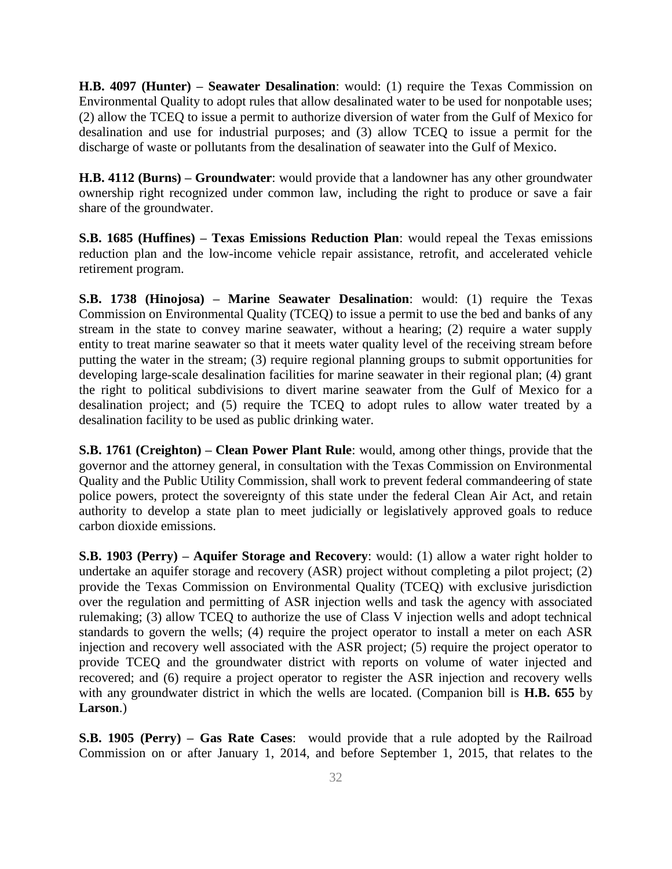**H.B. 4097 (Hunter) – Seawater Desalination**: would: (1) require the Texas Commission on Environmental Quality to adopt rules that allow desalinated water to be used for nonpotable uses; (2) allow the TCEQ to issue a permit to authorize diversion of water from the Gulf of Mexico for desalination and use for industrial purposes; and (3) allow TCEQ to issue a permit for the discharge of waste or pollutants from the desalination of seawater into the Gulf of Mexico.

**H.B. 4112 (Burns) – Groundwater**: would provide that a landowner has any other groundwater ownership right recognized under common law, including the right to produce or save a fair share of the groundwater.

**S.B. 1685 (Huffines) – Texas Emissions Reduction Plan**: would repeal the Texas emissions reduction plan and the low-income vehicle repair assistance, retrofit, and accelerated vehicle retirement program.

**S.B. 1738 (Hinojosa) – Marine Seawater Desalination**: would: (1) require the Texas Commission on Environmental Quality (TCEQ) to issue a permit to use the bed and banks of any stream in the state to convey marine seawater, without a hearing; (2) require a water supply entity to treat marine seawater so that it meets water quality level of the receiving stream before putting the water in the stream; (3) require regional planning groups to submit opportunities for developing large-scale desalination facilities for marine seawater in their regional plan; (4) grant the right to political subdivisions to divert marine seawater from the Gulf of Mexico for a desalination project; and (5) require the TCEQ to adopt rules to allow water treated by a desalination facility to be used as public drinking water.

**S.B. 1761 (Creighton) – Clean Power Plant Rule**: would, among other things, provide that the governor and the attorney general, in consultation with the Texas Commission on Environmental Quality and the Public Utility Commission, shall work to prevent federal commandeering of state police powers, protect the sovereignty of this state under the federal Clean Air Act, and retain authority to develop a state plan to meet judicially or legislatively approved goals to reduce carbon dioxide emissions.

**S.B. 1903 (Perry) – Aquifer Storage and Recovery**: would: (1) allow a water right holder to undertake an aquifer storage and recovery (ASR) project without completing a pilot project; (2) provide the Texas Commission on Environmental Quality (TCEQ) with exclusive jurisdiction over the regulation and permitting of ASR injection wells and task the agency with associated rulemaking; (3) allow TCEQ to authorize the use of Class V injection wells and adopt technical standards to govern the wells; (4) require the project operator to install a meter on each ASR injection and recovery well associated with the ASR project; (5) require the project operator to provide TCEQ and the groundwater district with reports on volume of water injected and recovered; and (6) require a project operator to register the ASR injection and recovery wells with any groundwater district in which the wells are located. (Companion bill is **H.B. 655** by **Larson**.)

**S.B. 1905 (Perry) – Gas Rate Cases**: would provide that a rule adopted by the Railroad Commission on or after January 1, 2014, and before September 1, 2015, that relates to the